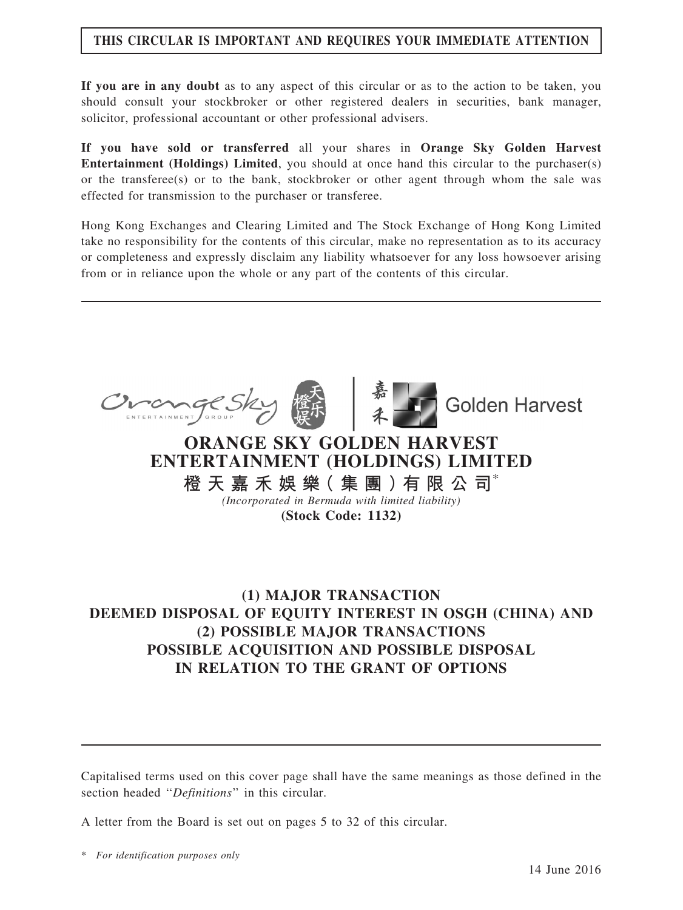## THIS CIRCULAR IS IMPORTANT AND REQUIRES YOUR IMMEDIATE ATTENTION

If you are in any doubt as to any aspect of this circular or as to the action to be taken, you should consult your stockbroker or other registered dealers in securities, bank manager, solicitor, professional accountant or other professional advisers.

If you have sold or transferred all your shares in Orange Sky Golden Harvest Entertainment (Holdings) Limited, you should at once hand this circular to the purchaser(s) or the transferee(s) or to the bank, stockbroker or other agent through whom the sale was effected for transmission to the purchaser or transferee.

Hong Kong Exchanges and Clearing Limited and The Stock Exchange of Hong Kong Limited take no responsibility for the contents of this circular, make no representation as to its accuracy or completeness and expressly disclaim any liability whatsoever for any loss howsoever arising from or in reliance upon the whole or any part of the contents of this circular.





**Golden Harvest** 

# ORANGE SKY GOLDEN HARVEST ENTERTAINMENT (HOLDINGS) LIMITED

橙 天 嘉 禾 娛 樂( 集 團 )有 限 公 司\*

(Incorporated in Bermuda with limited liability) (Stock Code: 1132)

## (1) MAJOR TRANSACTION DEEMED DISPOSAL OF EQUITY INTEREST IN OSGH (CHINA) AND (2) POSSIBLE MAJOR TRANSACTIONS POSSIBLE ACQUISITION AND POSSIBLE DISPOSAL IN RELATION TO THE GRANT OF OPTIONS

Capitalised terms used on this cover page shall have the same meanings as those defined in the section headed "Definitions" in this circular.

A letter from the Board is set out on pages 5 to 32 of this circular.

\* For identification purposes only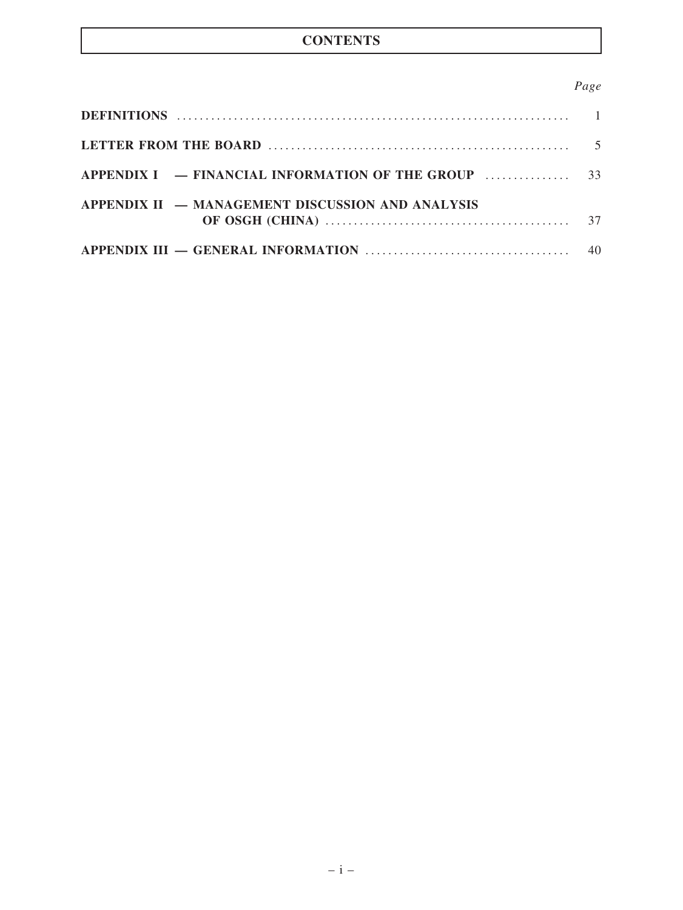## **CONTENTS**

## Page

| APPENDIX II — MANAGEMENT DISCUSSION AND ANALYSIS |    |
|--------------------------------------------------|----|
|                                                  | 40 |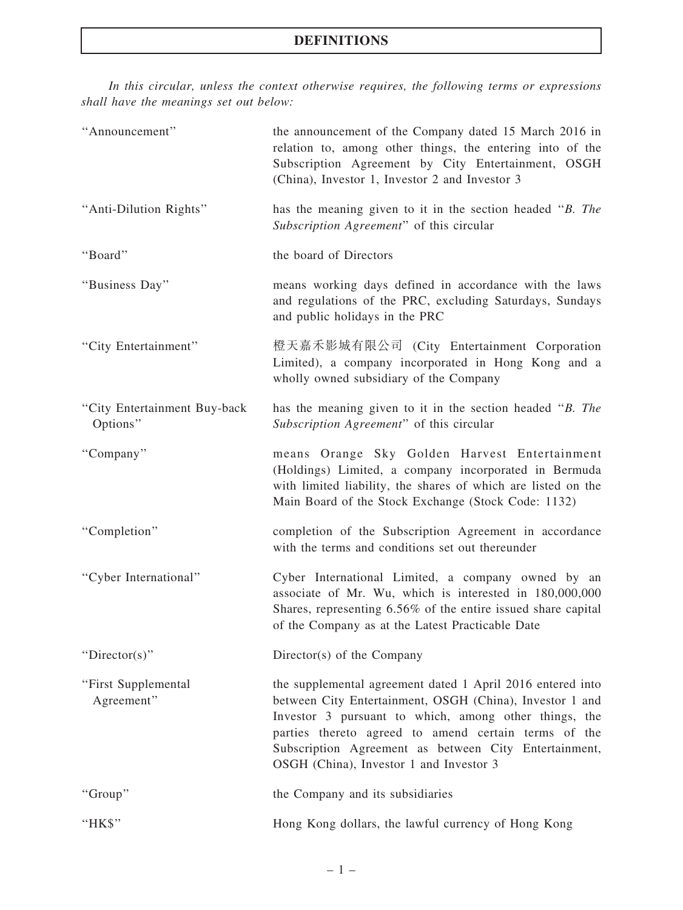In this circular, unless the context otherwise requires, the following terms or expressions shall have the meanings set out below:

| "Announcement"                           | the announcement of the Company dated 15 March 2016 in<br>relation to, among other things, the entering into of the<br>Subscription Agreement by City Entertainment, OSGH<br>(China), Investor 1, Investor 2 and Investor 3                                                                                                                 |
|------------------------------------------|---------------------------------------------------------------------------------------------------------------------------------------------------------------------------------------------------------------------------------------------------------------------------------------------------------------------------------------------|
| "Anti-Dilution Rights"                   | has the meaning given to it in the section headed "B. The<br>Subscription Agreement" of this circular                                                                                                                                                                                                                                       |
| "Board"                                  | the board of Directors                                                                                                                                                                                                                                                                                                                      |
| "Business Day"                           | means working days defined in accordance with the laws<br>and regulations of the PRC, excluding Saturdays, Sundays<br>and public holidays in the PRC                                                                                                                                                                                        |
| "City Entertainment"                     | 橙天嘉禾影城有限公司 (City Entertainment Corporation<br>Limited), a company incorporated in Hong Kong and a<br>wholly owned subsidiary of the Company                                                                                                                                                                                                 |
| "City Entertainment Buy-back<br>Options" | has the meaning given to it in the section headed "B. The<br>Subscription Agreement" of this circular                                                                                                                                                                                                                                       |
| "Company"                                | means Orange Sky Golden Harvest Entertainment<br>(Holdings) Limited, a company incorporated in Bermuda<br>with limited liability, the shares of which are listed on the<br>Main Board of the Stock Exchange (Stock Code: 1132)                                                                                                              |
| "Completion"                             | completion of the Subscription Agreement in accordance<br>with the terms and conditions set out thereunder                                                                                                                                                                                                                                  |
| "Cyber International"                    | Cyber International Limited, a company owned by an<br>associate of Mr. Wu, which is interested in 180,000,000<br>Shares, representing 6.56% of the entire issued share capital<br>of the Company as at the Latest Practicable Date                                                                                                          |
| "Director(s)"                            | Director(s) of the Company                                                                                                                                                                                                                                                                                                                  |
| "First Supplemental<br>Agreement"        | the supplemental agreement dated 1 April 2016 entered into<br>between City Entertainment, OSGH (China), Investor 1 and<br>Investor 3 pursuant to which, among other things, the<br>parties thereto agreed to amend certain terms of the<br>Subscription Agreement as between City Entertainment,<br>OSGH (China), Investor 1 and Investor 3 |
| "Group"                                  | the Company and its subsidiaries                                                                                                                                                                                                                                                                                                            |
| "HK\$"                                   | Hong Kong dollars, the lawful currency of Hong Kong                                                                                                                                                                                                                                                                                         |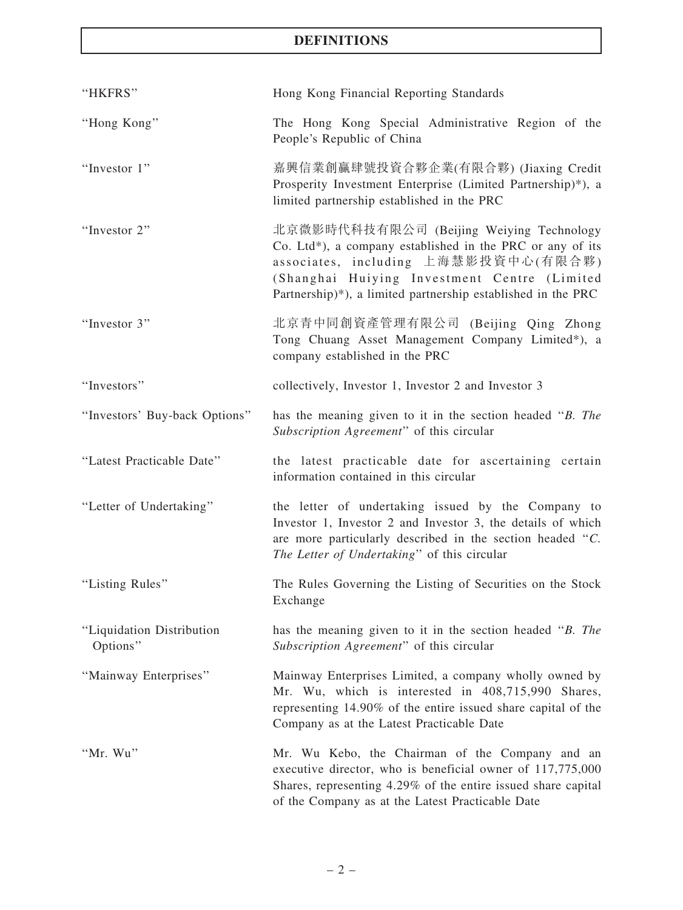## DEFINITIONS

| "HKFRS"                               | Hong Kong Financial Reporting Standards                                                                                                                                                                                                                       |
|---------------------------------------|---------------------------------------------------------------------------------------------------------------------------------------------------------------------------------------------------------------------------------------------------------------|
| "Hong Kong"                           | The Hong Kong Special Administrative Region of the<br>People's Republic of China                                                                                                                                                                              |
| "Investor 1"                          | 嘉興信業創贏肆號投資合夥企業(有限合夥) (Jiaxing Credit<br>Prosperity Investment Enterprise (Limited Partnership)*), a<br>limited partnership established in the PRC                                                                                                             |
| "Investor 2"                          | 北京微影時代科技有限公司 (Beijing Weiying Technology<br>Co. Ltd*), a company established in the PRC or any of its<br>associates, including 上海慧影投資中心(有限合夥)<br>(Shanghai Huiying Investment Centre (Limited<br>Partnership)*), a limited partnership established in the PRC |
| "Investor 3"                          | 北京青中同創資產管理有限公司 (Beijing Qing Zhong<br>Tong Chuang Asset Management Company Limited*), a<br>company established in the PRC                                                                                                                                     |
| "Investors"                           | collectively, Investor 1, Investor 2 and Investor 3                                                                                                                                                                                                           |
| "Investors' Buy-back Options"         | has the meaning given to it in the section headed "B. The<br>Subscription Agreement" of this circular                                                                                                                                                         |
| "Latest Practicable Date"             | the latest practicable date for ascertaining certain<br>information contained in this circular                                                                                                                                                                |
| "Letter of Undertaking"               | the letter of undertaking issued by the Company to<br>Investor 1, Investor 2 and Investor 3, the details of which<br>are more particularly described in the section headed "C.<br>The Letter of Undertaking" of this circular                                 |
| "Listing Rules"                       | The Rules Governing the Listing of Securities on the Stock<br>Exchange                                                                                                                                                                                        |
| "Liquidation Distribution<br>Options" | has the meaning given to it in the section headed "B. The<br>Subscription Agreement" of this circular                                                                                                                                                         |
| "Mainway Enterprises"                 | Mainway Enterprises Limited, a company wholly owned by<br>Mr. Wu, which is interested in 408,715,990 Shares,<br>representing 14.90% of the entire issued share capital of the<br>Company as at the Latest Practicable Date                                    |
| "Mr. Wu"                              | Mr. Wu Kebo, the Chairman of the Company and an<br>executive director, who is beneficial owner of 117,775,000<br>Shares, representing 4.29% of the entire issued share capital<br>of the Company as at the Latest Practicable Date                            |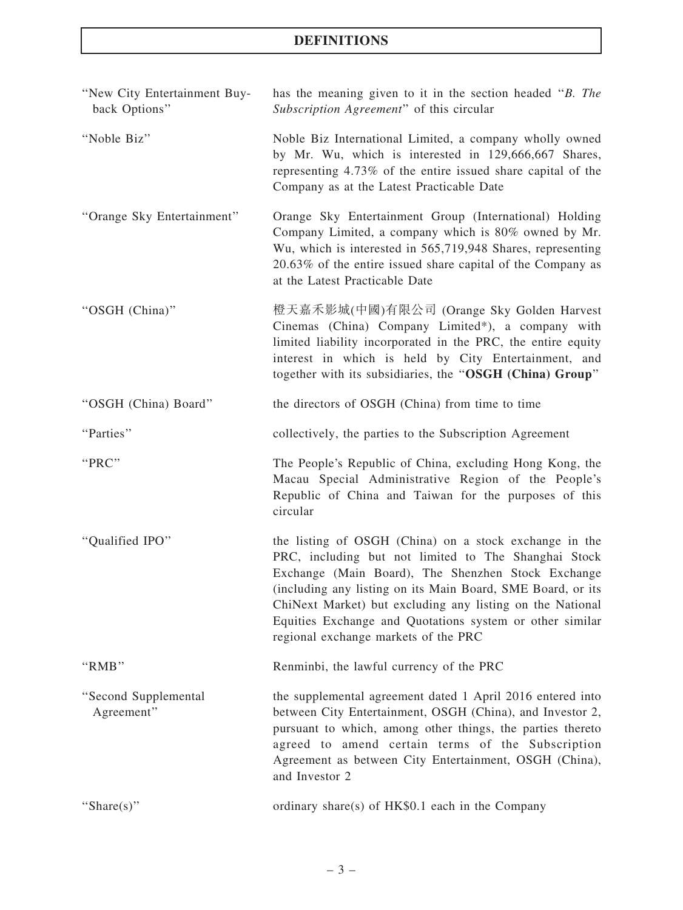## DEFINITIONS

| "New City Entertainment Buy-<br>back Options" | has the meaning given to it in the section headed "B. The<br>Subscription Agreement" of this circular                                                                                                                                                                                                                                                                                                |
|-----------------------------------------------|------------------------------------------------------------------------------------------------------------------------------------------------------------------------------------------------------------------------------------------------------------------------------------------------------------------------------------------------------------------------------------------------------|
| "Noble Biz"                                   | Noble Biz International Limited, a company wholly owned<br>by Mr. Wu, which is interested in 129,666,667 Shares,<br>representing 4.73% of the entire issued share capital of the<br>Company as at the Latest Practicable Date                                                                                                                                                                        |
| "Orange Sky Entertainment"                    | Orange Sky Entertainment Group (International) Holding<br>Company Limited, a company which is 80% owned by Mr.<br>Wu, which is interested in 565,719,948 Shares, representing<br>20.63% of the entire issued share capital of the Company as<br>at the Latest Practicable Date                                                                                                                       |
| "OSGH (China)"                                | 橙天嘉禾影城(中國)有限公司 (Orange Sky Golden Harvest<br>Cinemas (China) Company Limited*), a company with<br>limited liability incorporated in the PRC, the entire equity<br>interest in which is held by City Entertainment, and<br>together with its subsidiaries, the "OSGH (China) Group"                                                                                                                   |
| "OSGH (China) Board"                          | the directors of OSGH (China) from time to time                                                                                                                                                                                                                                                                                                                                                      |
| "Parties"                                     | collectively, the parties to the Subscription Agreement                                                                                                                                                                                                                                                                                                                                              |
| "PRC"                                         | The People's Republic of China, excluding Hong Kong, the<br>Macau Special Administrative Region of the People's<br>Republic of China and Taiwan for the purposes of this<br>circular                                                                                                                                                                                                                 |
| "Qualified IPO"                               | the listing of OSGH (China) on a stock exchange in the<br>PRC, including but not limited to The Shanghai Stock<br>Exchange (Main Board), The Shenzhen Stock Exchange<br>(including any listing on its Main Board, SME Board, or its<br>ChiNext Market) but excluding any listing on the National<br>Equities Exchange and Quotations system or other similar<br>regional exchange markets of the PRC |
| "RMB"                                         | Renminbi, the lawful currency of the PRC                                                                                                                                                                                                                                                                                                                                                             |
| "Second Supplemental<br>Agreement"            | the supplemental agreement dated 1 April 2016 entered into<br>between City Entertainment, OSGH (China), and Investor 2,<br>pursuant to which, among other things, the parties thereto<br>agreed to amend certain terms of the Subscription<br>Agreement as between City Entertainment, OSGH (China),<br>and Investor 2                                                                               |
| "Share(s)"                                    | ordinary share(s) of HK\$0.1 each in the Company                                                                                                                                                                                                                                                                                                                                                     |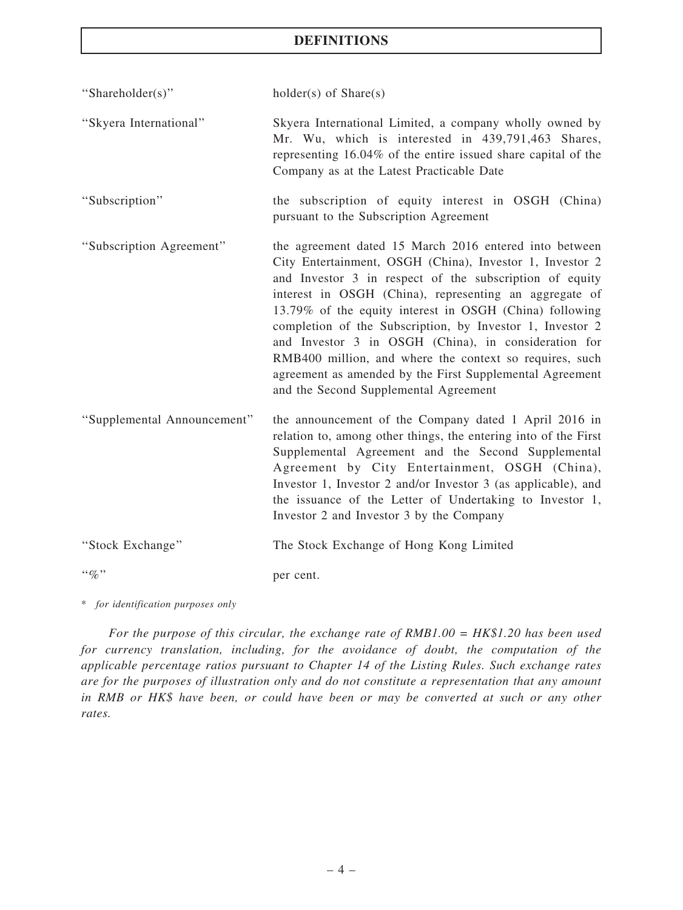## **DEFINITIONS**

''Shareholder(s)'' holder(s) of Share(s)

- ''Skyera International'' Skyera International Limited, a company wholly owned by Mr. Wu, which is interested in 439,791,463 Shares, representing 16.04% of the entire issued share capital of the Company as at the Latest Practicable Date
- ''Subscription'' the subscription of equity interest in OSGH (China) pursuant to the Subscription Agreement
- ''Subscription Agreement'' the agreement dated 15 March 2016 entered into between City Entertainment, OSGH (China), Investor 1, Investor 2 and Investor 3 in respect of the subscription of equity interest in OSGH (China), representing an aggregate of 13.79% of the equity interest in OSGH (China) following completion of the Subscription, by Investor 1, Investor 2 and Investor 3 in OSGH (China), in consideration for RMB400 million, and where the context so requires, such agreement as amended by the First Supplemental Agreement and the Second Supplemental Agreement
- ''Supplemental Announcement'' the announcement of the Company dated 1 April 2016 in relation to, among other things, the entering into of the First Supplemental Agreement and the Second Supplemental Agreement by City Entertainment, OSGH (China), Investor 1, Investor 2 and/or Investor 3 (as applicable), and the issuance of the Letter of Undertaking to Investor 1, Investor 2 and Investor 3 by the Company
- ''Stock Exchange'' The Stock Exchange of Hong Kong Limited

"%" per cent.

\* for identification purposes only

For the purpose of this circular, the exchange rate of  $RMB1.00 = HK$1.20$  has been used for currency translation, including, for the avoidance of doubt, the computation of the applicable percentage ratios pursuant to Chapter 14 of the Listing Rules. Such exchange rates are for the purposes of illustration only and do not constitute a representation that any amount in RMB or HK\$ have been, or could have been or may be converted at such or any other rates.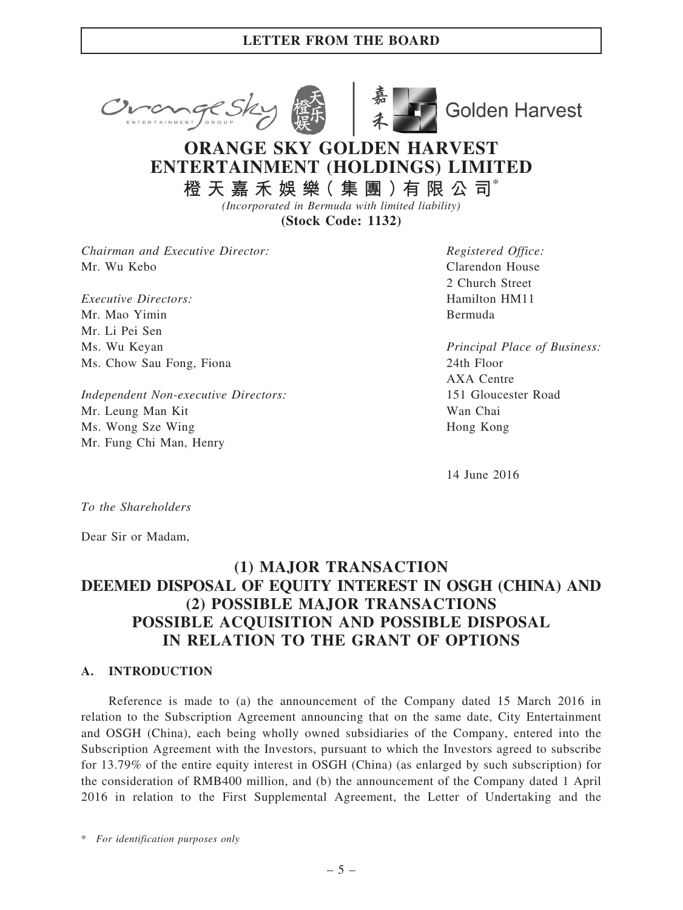



**Golden Harvest** 

# ORANGE SKY GOLDEN HARVEST ENTERTAINMENT (HOLDINGS) LIMITED

橙 天 嘉 禾 娛 樂( 集 團 )有 限 公 司\* (Incorporated in Bermuda with limited liability)

(Stock Code: 1132)

Chairman and Executive Director: Mr. Wu Kebo

Executive Directors: Mr. Mao Yimin Mr. Li Pei Sen Ms. Wu Keyan Ms. Chow Sau Fong, Fiona

Independent Non-executive Directors: Mr. Leung Man Kit Ms. Wong Sze Wing Mr. Fung Chi Man, Henry

Registered Office: Clarendon House 2 Church Street Hamilton HM11 Bermuda

Principal Place of Business: 24th Floor AXA Centre 151 Gloucester Road Wan Chai Hong Kong

14 June 2016

To the Shareholders

Dear Sir or Madam,

## (1) MAJOR TRANSACTION DEEMED DISPOSAL OF EQUITY INTEREST IN OSGH (CHINA) AND (2) POSSIBLE MAJOR TRANSACTIONS POSSIBLE ACQUISITION AND POSSIBLE DISPOSAL IN RELATION TO THE GRANT OF OPTIONS

#### A. INTRODUCTION

Reference is made to (a) the announcement of the Company dated 15 March 2016 in relation to the Subscription Agreement announcing that on the same date, City Entertainment and OSGH (China), each being wholly owned subsidiaries of the Company, entered into the Subscription Agreement with the Investors, pursuant to which the Investors agreed to subscribe for 13.79% of the entire equity interest in OSGH (China) (as enlarged by such subscription) for the consideration of RMB400 million, and (b) the announcement of the Company dated 1 April 2016 in relation to the First Supplemental Agreement, the Letter of Undertaking and the

\* For identification purposes only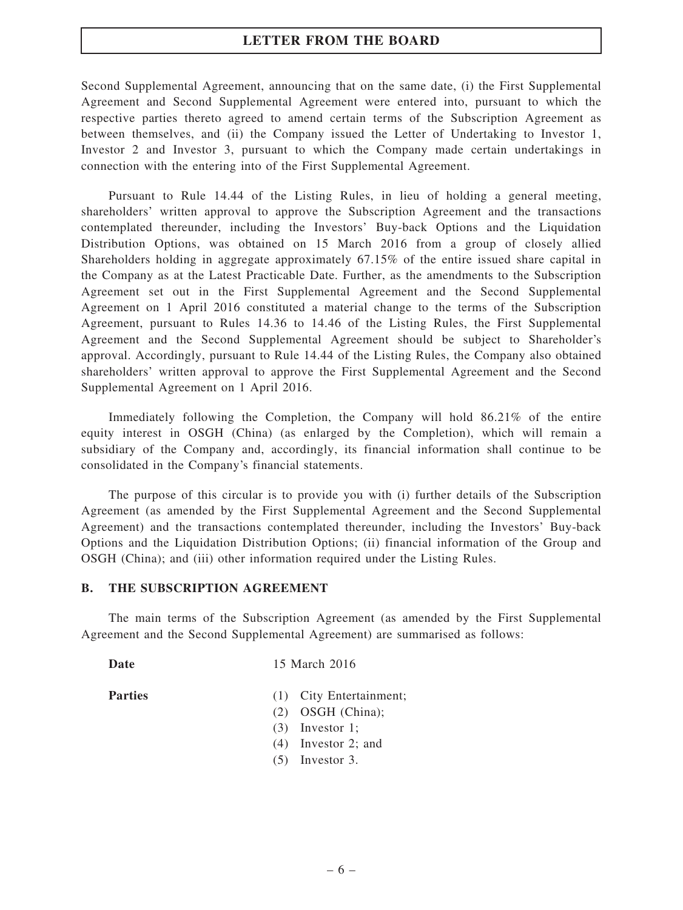Second Supplemental Agreement, announcing that on the same date, (i) the First Supplemental Agreement and Second Supplemental Agreement were entered into, pursuant to which the respective parties thereto agreed to amend certain terms of the Subscription Agreement as between themselves, and (ii) the Company issued the Letter of Undertaking to Investor 1, Investor 2 and Investor 3, pursuant to which the Company made certain undertakings in connection with the entering into of the First Supplemental Agreement.

Pursuant to Rule 14.44 of the Listing Rules, in lieu of holding a general meeting, shareholders' written approval to approve the Subscription Agreement and the transactions contemplated thereunder, including the Investors' Buy-back Options and the Liquidation Distribution Options, was obtained on 15 March 2016 from a group of closely allied Shareholders holding in aggregate approximately 67.15% of the entire issued share capital in the Company as at the Latest Practicable Date. Further, as the amendments to the Subscription Agreement set out in the First Supplemental Agreement and the Second Supplemental Agreement on 1 April 2016 constituted a material change to the terms of the Subscription Agreement, pursuant to Rules 14.36 to 14.46 of the Listing Rules, the First Supplemental Agreement and the Second Supplemental Agreement should be subject to Shareholder's approval. Accordingly, pursuant to Rule 14.44 of the Listing Rules, the Company also obtained shareholders' written approval to approve the First Supplemental Agreement and the Second Supplemental Agreement on 1 April 2016.

Immediately following the Completion, the Company will hold 86.21% of the entire equity interest in OSGH (China) (as enlarged by the Completion), which will remain a subsidiary of the Company and, accordingly, its financial information shall continue to be consolidated in the Company's financial statements.

The purpose of this circular is to provide you with (i) further details of the Subscription Agreement (as amended by the First Supplemental Agreement and the Second Supplemental Agreement) and the transactions contemplated thereunder, including the Investors' Buy-back Options and the Liquidation Distribution Options; (ii) financial information of the Group and OSGH (China); and (iii) other information required under the Listing Rules.

#### B. THE SUBSCRIPTION AGREEMENT

The main terms of the Subscription Agreement (as amended by the First Supplemental Agreement and the Second Supplemental Agreement) are summarised as follows:

Date 15 March 2016

- Parties (1) City Entertainment;
	- (2) OSGH (China);
	- (3) Investor 1;
	- (4) Investor 2; and
	- (5) Investor 3.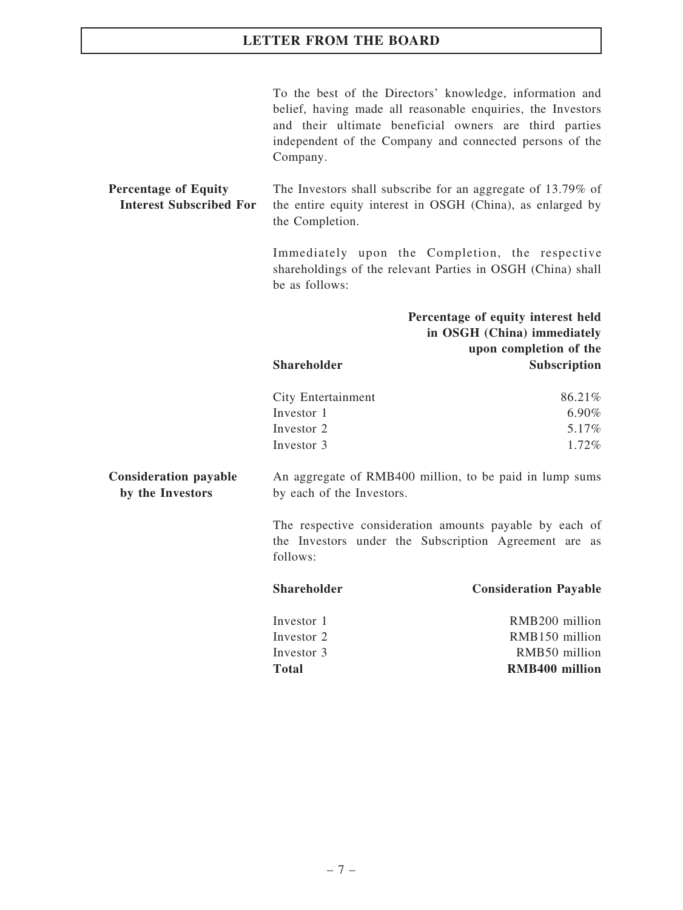To the best of the Directors' knowledge, information and belief, having made all reasonable enquiries, the Investors and their ultimate beneficial owners are third parties independent of the Company and connected persons of the Company.

Percentage of Equity Interest Subscribed For The Investors shall subscribe for an aggregate of 13.79% of the entire equity interest in OSGH (China), as enlarged by the Completion.

> Immediately upon the Completion, the respective shareholdings of the relevant Parties in OSGH (China) shall be as follows:

> Total RMB400 million

|                                                  |                                                                                      | Percentage of equity interest held<br>in OSGH (China) immediately<br>upon completion of the                      |  |  |
|--------------------------------------------------|--------------------------------------------------------------------------------------|------------------------------------------------------------------------------------------------------------------|--|--|
|                                                  | <b>Shareholder</b>                                                                   | <b>Subscription</b>                                                                                              |  |  |
|                                                  | City Entertainment                                                                   | 86.21%                                                                                                           |  |  |
|                                                  | Investor 1                                                                           | $6.90\%$                                                                                                         |  |  |
|                                                  | Investor 2                                                                           | 5.17%                                                                                                            |  |  |
|                                                  | Investor 3                                                                           | 1.72%                                                                                                            |  |  |
| <b>Consideration payable</b><br>by the Investors | An aggregate of RMB400 million, to be paid in lump sums<br>by each of the Investors. |                                                                                                                  |  |  |
|                                                  | follows:                                                                             | The respective consideration amounts payable by each of<br>the Investors under the Subscription Agreement are as |  |  |
|                                                  | <b>Shareholder</b>                                                                   | <b>Consideration Payable</b>                                                                                     |  |  |
|                                                  | Investor 1                                                                           | RMB <sub>200</sub> million                                                                                       |  |  |
|                                                  | Investor 2                                                                           | RMB150 million                                                                                                   |  |  |
|                                                  | Investor 3                                                                           | RMB50 million                                                                                                    |  |  |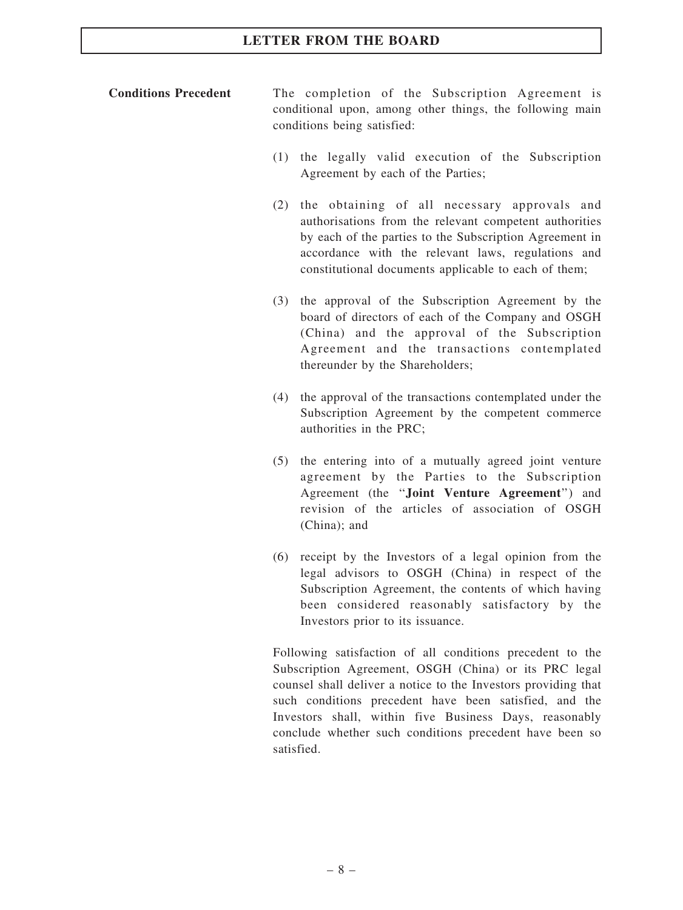## Conditions Precedent The completion of the Subscription Agreement is conditional upon, among other things, the following main conditions being satisfied:

- (1) the legally valid execution of the Subscription Agreement by each of the Parties;
- (2) the obtaining of all necessary approvals and authorisations from the relevant competent authorities by each of the parties to the Subscription Agreement in accordance with the relevant laws, regulations and constitutional documents applicable to each of them;
- (3) the approval of the Subscription Agreement by the board of directors of each of the Company and OSGH (China) and the approval of the Subscription Agreement and the transactions contemplated thereunder by the Shareholders;
- (4) the approval of the transactions contemplated under the Subscription Agreement by the competent commerce authorities in the PRC;
- (5) the entering into of a mutually agreed joint venture agreement by the Parties to the Subscription Agreement (the ''Joint Venture Agreement'') and revision of the articles of association of OSGH (China); and
- (6) receipt by the Investors of a legal opinion from the legal advisors to OSGH (China) in respect of the Subscription Agreement, the contents of which having been considered reasonably satisfactory by the Investors prior to its issuance.

Following satisfaction of all conditions precedent to the Subscription Agreement, OSGH (China) or its PRC legal counsel shall deliver a notice to the Investors providing that such conditions precedent have been satisfied, and the Investors shall, within five Business Days, reasonably conclude whether such conditions precedent have been so satisfied.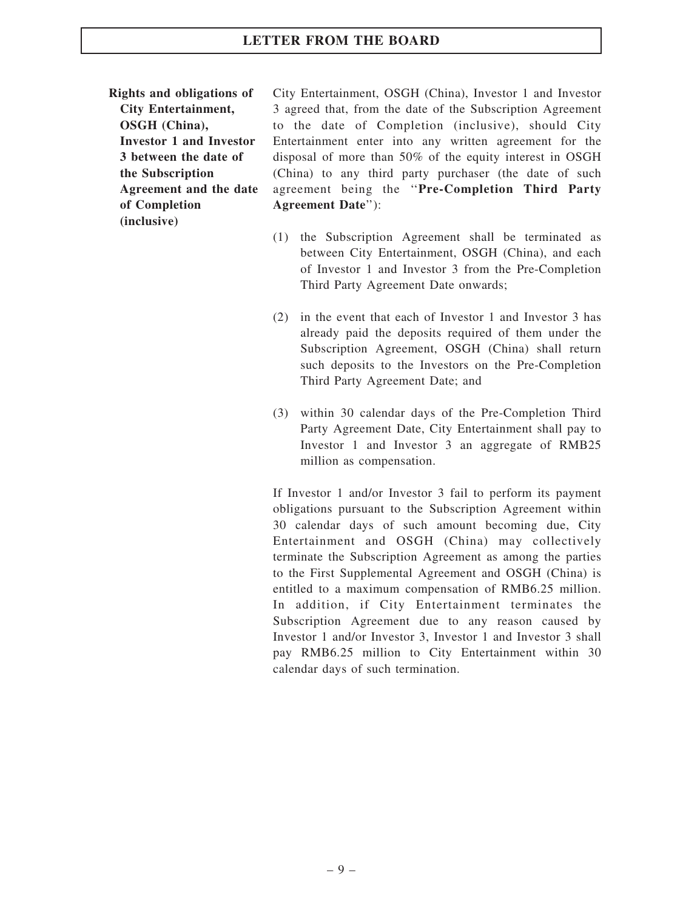Rights and obligations of City Entertainment, OSGH (China), Investor 1 and Investor 3 between the date of the Subscription Agreement and the date of Completion (inclusive)

City Entertainment, OSGH (China), Investor 1 and Investor 3 agreed that, from the date of the Subscription Agreement to the date of Completion (inclusive), should City Entertainment enter into any written agreement for the disposal of more than 50% of the equity interest in OSGH (China) to any third party purchaser (the date of such agreement being the ''Pre-Completion Third Party Agreement Date''):

- (1) the Subscription Agreement shall be terminated as between City Entertainment, OSGH (China), and each of Investor 1 and Investor 3 from the Pre-Completion Third Party Agreement Date onwards;
- (2) in the event that each of Investor 1 and Investor 3 has already paid the deposits required of them under the Subscription Agreement, OSGH (China) shall return such deposits to the Investors on the Pre-Completion Third Party Agreement Date; and
- (3) within 30 calendar days of the Pre-Completion Third Party Agreement Date, City Entertainment shall pay to Investor 1 and Investor 3 an aggregate of RMB25 million as compensation.

If Investor 1 and/or Investor 3 fail to perform its payment obligations pursuant to the Subscription Agreement within 30 calendar days of such amount becoming due, City Entertainment and OSGH (China) may collectively terminate the Subscription Agreement as among the parties to the First Supplemental Agreement and OSGH (China) is entitled to a maximum compensation of RMB6.25 million. In addition, if City Entertainment terminates the Subscription Agreement due to any reason caused by Investor 1 and/or Investor 3, Investor 1 and Investor 3 shall pay RMB6.25 million to City Entertainment within 30 calendar days of such termination.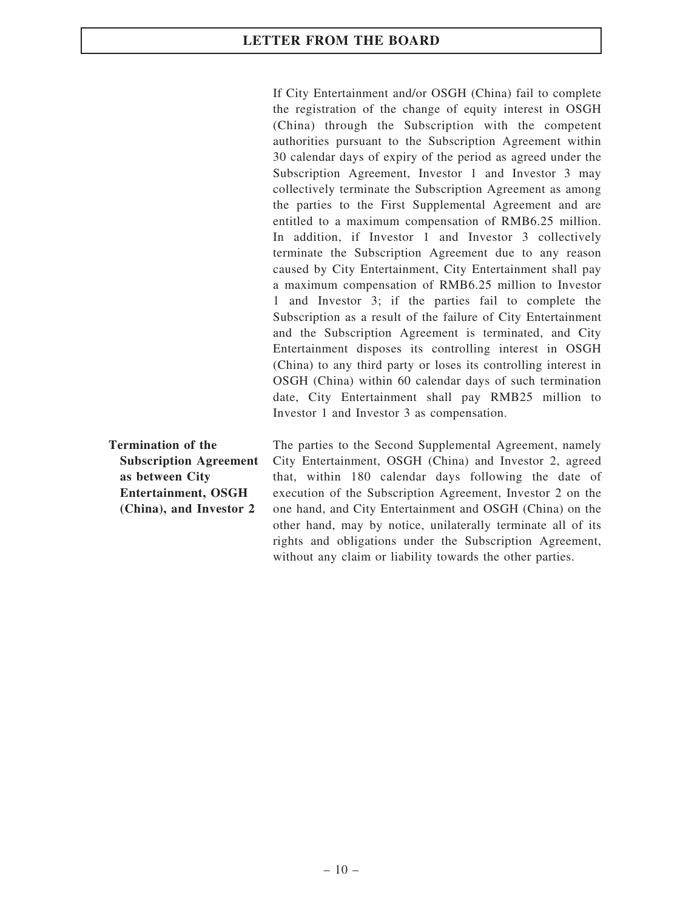If City Entertainment and/or OSGH (China) fail to complete the registration of the change of equity interest in OSGH (China) through the Subscription with the competent authorities pursuant to the Subscription Agreement within 30 calendar days of expiry of the period as agreed under the Subscription Agreement, Investor 1 and Investor 3 may collectively terminate the Subscription Agreement as among the parties to the First Supplemental Agreement and are entitled to a maximum compensation of RMB6.25 million. In addition, if Investor 1 and Investor 3 collectively terminate the Subscription Agreement due to any reason caused by City Entertainment, City Entertainment shall pay a maximum compensation of RMB6.25 million to Investor 1 and Investor 3; if the parties fail to complete the Subscription as a result of the failure of City Entertainment and the Subscription Agreement is terminated, and City Entertainment disposes its controlling interest in OSGH (China) to any third party or loses its controlling interest in OSGH (China) within 60 calendar days of such termination date, City Entertainment shall pay RMB25 million to Investor 1 and Investor 3 as compensation.

Termination of the Subscription Agreement as between City Entertainment, OSGH (China), and Investor 2

The parties to the Second Supplemental Agreement, namely City Entertainment, OSGH (China) and Investor 2, agreed that, within 180 calendar days following the date of execution of the Subscription Agreement, Investor 2 on the one hand, and City Entertainment and OSGH (China) on the other hand, may by notice, unilaterally terminate all of its rights and obligations under the Subscription Agreement, without any claim or liability towards the other parties.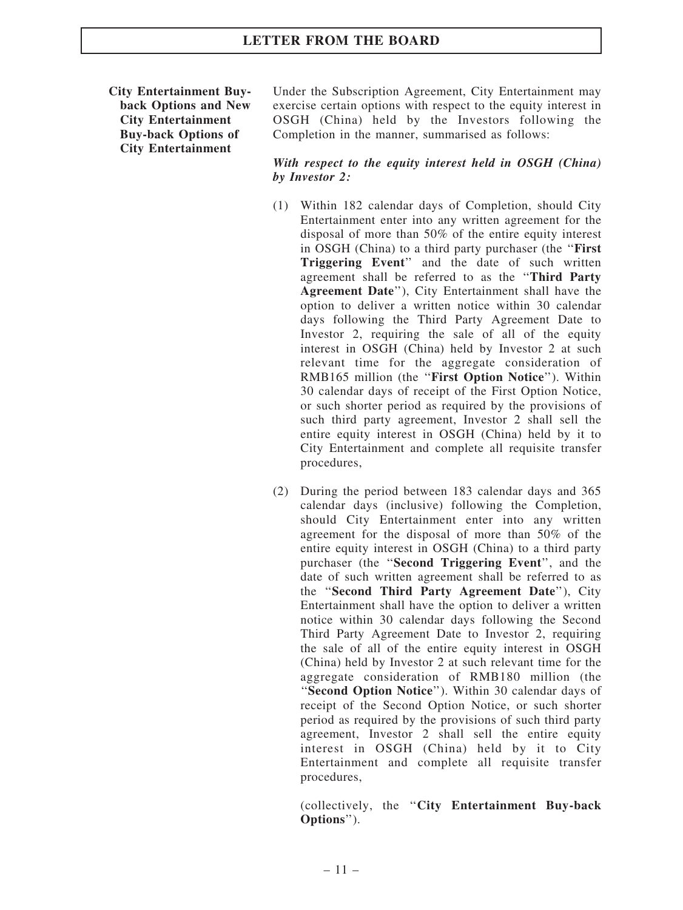City Entertainment Buyback Options and New City Entertainment Buy-back Options of City Entertainment

Under the Subscription Agreement, City Entertainment may exercise certain options with respect to the equity interest in OSGH (China) held by the Investors following the Completion in the manner, summarised as follows:

#### With respect to the equity interest held in OSGH (China) by Investor 2:

- (1) Within 182 calendar days of Completion, should City Entertainment enter into any written agreement for the disposal of more than 50% of the entire equity interest in OSGH (China) to a third party purchaser (the ''First Triggering Event'' and the date of such written agreement shall be referred to as the ''Third Party Agreement Date''), City Entertainment shall have the option to deliver a written notice within 30 calendar days following the Third Party Agreement Date to Investor 2, requiring the sale of all of the equity interest in OSGH (China) held by Investor 2 at such relevant time for the aggregate consideration of RMB165 million (the ''First Option Notice''). Within 30 calendar days of receipt of the First Option Notice, or such shorter period as required by the provisions of such third party agreement, Investor 2 shall sell the entire equity interest in OSGH (China) held by it to City Entertainment and complete all requisite transfer procedures,
- (2) During the period between 183 calendar days and 365 calendar days (inclusive) following the Completion, should City Entertainment enter into any written agreement for the disposal of more than 50% of the entire equity interest in OSGH (China) to a third party purchaser (the ''Second Triggering Event'', and the date of such written agreement shall be referred to as the ''Second Third Party Agreement Date''), City Entertainment shall have the option to deliver a written notice within 30 calendar days following the Second Third Party Agreement Date to Investor 2, requiring the sale of all of the entire equity interest in OSGH (China) held by Investor 2 at such relevant time for the aggregate consideration of RMB180 million (the "Second Option Notice"). Within 30 calendar days of receipt of the Second Option Notice, or such shorter period as required by the provisions of such third party agreement, Investor 2 shall sell the entire equity interest in OSGH (China) held by it to City Entertainment and complete all requisite transfer procedures,

(collectively, the ''City Entertainment Buy-back Options'').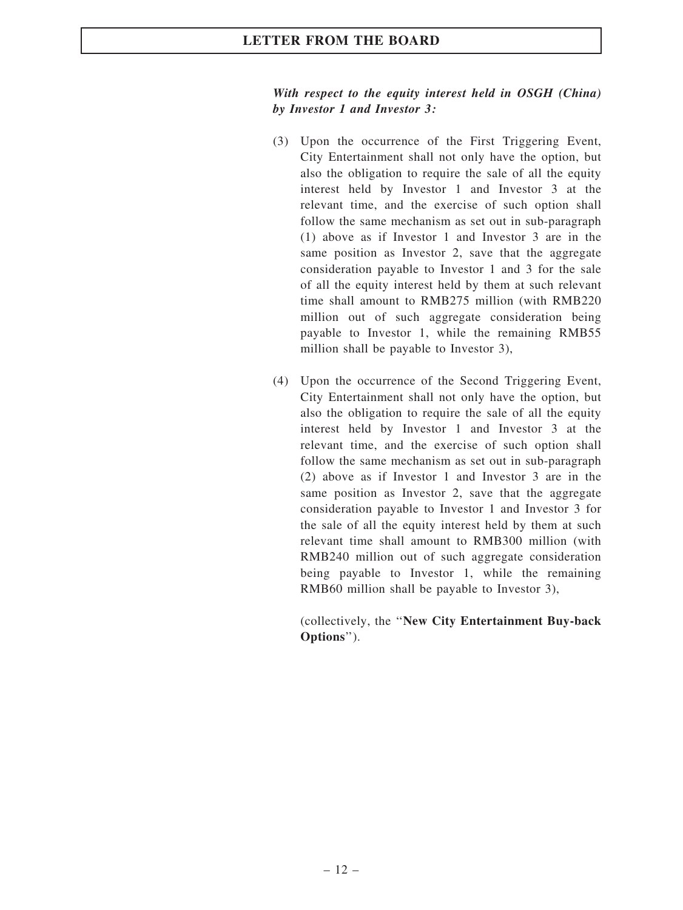#### With respect to the equity interest held in OSGH (China) by Investor 1 and Investor 3:

- (3) Upon the occurrence of the First Triggering Event, City Entertainment shall not only have the option, but also the obligation to require the sale of all the equity interest held by Investor 1 and Investor 3 at the relevant time, and the exercise of such option shall follow the same mechanism as set out in sub-paragraph (1) above as if Investor 1 and Investor 3 are in the same position as Investor 2, save that the aggregate consideration payable to Investor 1 and 3 for the sale of all the equity interest held by them at such relevant time shall amount to RMB275 million (with RMB220 million out of such aggregate consideration being payable to Investor 1, while the remaining RMB55 million shall be payable to Investor 3),
- (4) Upon the occurrence of the Second Triggering Event, City Entertainment shall not only have the option, but also the obligation to require the sale of all the equity interest held by Investor 1 and Investor 3 at the relevant time, and the exercise of such option shall follow the same mechanism as set out in sub-paragraph (2) above as if Investor 1 and Investor 3 are in the same position as Investor 2, save that the aggregate consideration payable to Investor 1 and Investor 3 for the sale of all the equity interest held by them at such relevant time shall amount to RMB300 million (with RMB240 million out of such aggregate consideration being payable to Investor 1, while the remaining RMB60 million shall be payable to Investor 3),

(collectively, the ''New City Entertainment Buy-back Options'').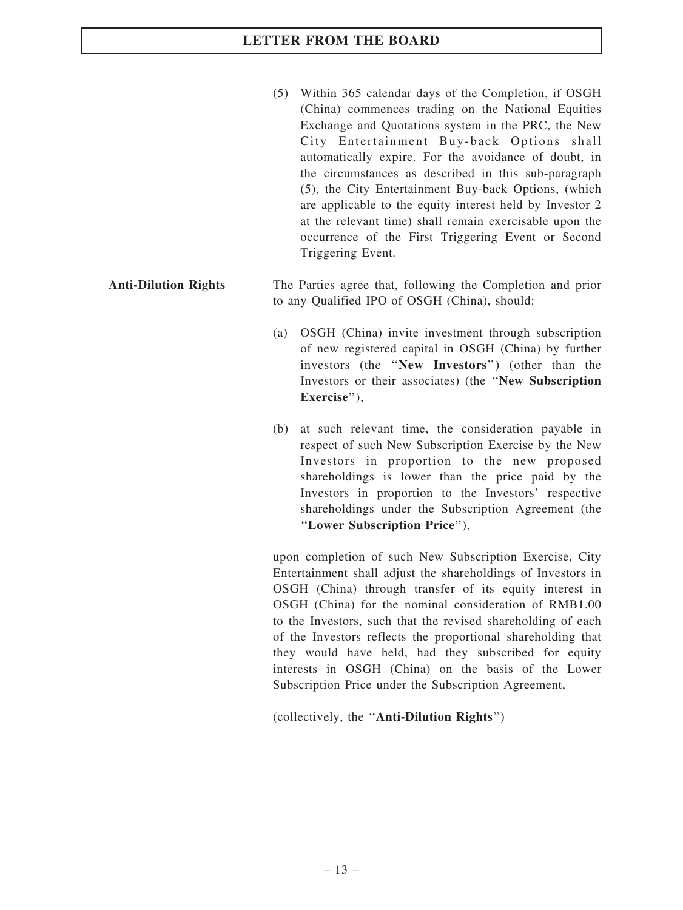(5) Within 365 calendar days of the Completion, if OSGH (China) commences trading on the National Equities Exchange and Quotations system in the PRC, the New City Entertainment Buy-back Options shall automatically expire. For the avoidance of doubt, in the circumstances as described in this sub-paragraph (5), the City Entertainment Buy-back Options, (which are applicable to the equity interest held by Investor 2 at the relevant time) shall remain exercisable upon the occurrence of the First Triggering Event or Second Triggering Event.

## Anti-Dilution Rights The Parties agree that, following the Completion and prior to any Qualified IPO of OSGH (China), should:

- (a) OSGH (China) invite investment through subscription of new registered capital in OSGH (China) by further investors (the ''New Investors'') (other than the Investors or their associates) (the ''New Subscription Exercise").
- (b) at such relevant time, the consideration payable in respect of such New Subscription Exercise by the New Investors in proportion to the new proposed shareholdings is lower than the price paid by the Investors in proportion to the Investors' respective shareholdings under the Subscription Agreement (the ''Lower Subscription Price''),

upon completion of such New Subscription Exercise, City Entertainment shall adjust the shareholdings of Investors in OSGH (China) through transfer of its equity interest in OSGH (China) for the nominal consideration of RMB1.00 to the Investors, such that the revised shareholding of each of the Investors reflects the proportional shareholding that they would have held, had they subscribed for equity interests in OSGH (China) on the basis of the Lower Subscription Price under the Subscription Agreement,

(collectively, the ''Anti-Dilution Rights'')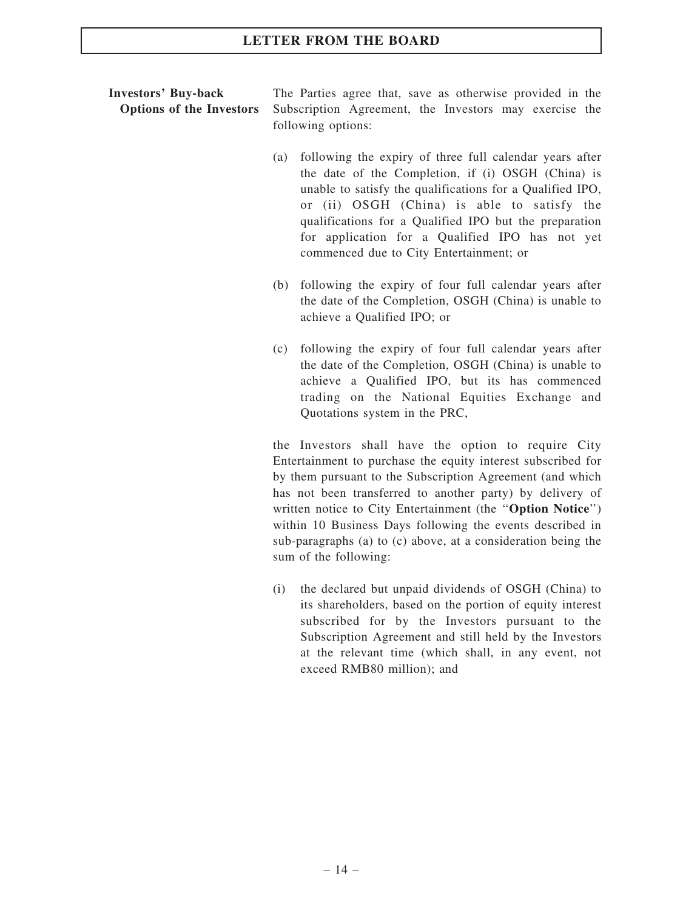## Investors' Buy-back Options of the Investors

The Parties agree that, save as otherwise provided in the Subscription Agreement, the Investors may exercise the following options:

- (a) following the expiry of three full calendar years after the date of the Completion, if (i) OSGH (China) is unable to satisfy the qualifications for a Qualified IPO, or (ii) OSGH (China) is able to satisfy the qualifications for a Qualified IPO but the preparation for application for a Qualified IPO has not yet commenced due to City Entertainment; or
- (b) following the expiry of four full calendar years after the date of the Completion, OSGH (China) is unable to achieve a Qualified IPO; or
- (c) following the expiry of four full calendar years after the date of the Completion, OSGH (China) is unable to achieve a Qualified IPO, but its has commenced trading on the National Equities Exchange and Quotations system in the PRC,

the Investors shall have the option to require City Entertainment to purchase the equity interest subscribed for by them pursuant to the Subscription Agreement (and which has not been transferred to another party) by delivery of written notice to City Entertainment (the "Option Notice") within 10 Business Days following the events described in sub-paragraphs (a) to (c) above, at a consideration being the sum of the following:

(i) the declared but unpaid dividends of OSGH (China) to its shareholders, based on the portion of equity interest subscribed for by the Investors pursuant to the Subscription Agreement and still held by the Investors at the relevant time (which shall, in any event, not exceed RMB80 million); and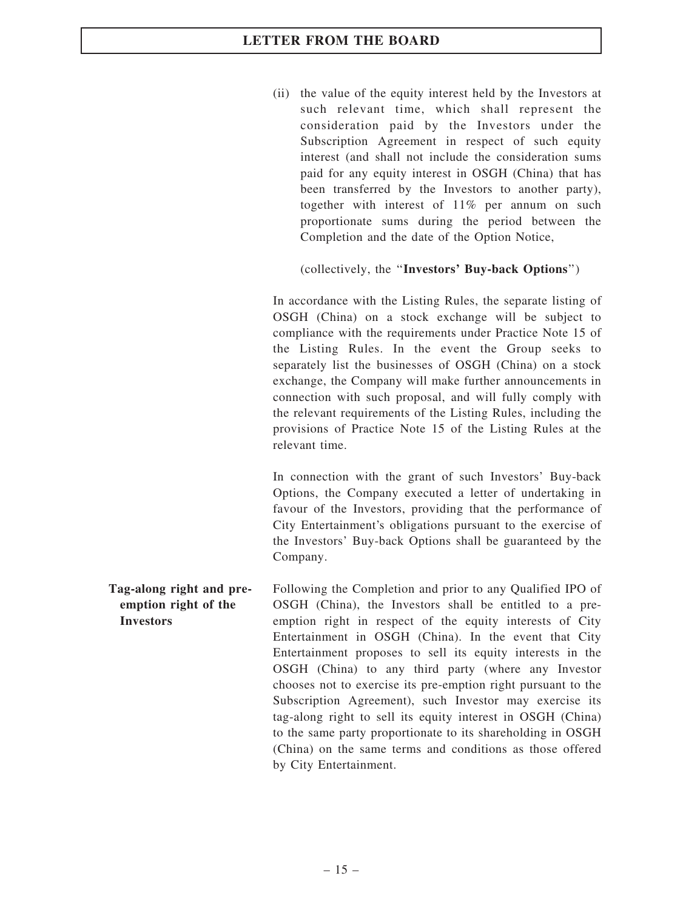(ii) the value of the equity interest held by the Investors at such relevant time, which shall represent the consideration paid by the Investors under the Subscription Agreement in respect of such equity interest (and shall not include the consideration sums paid for any equity interest in OSGH (China) that has been transferred by the Investors to another party), together with interest of 11% per annum on such proportionate sums during the period between the Completion and the date of the Option Notice,

## (collectively, the ''Investors' Buy-back Options'')

In accordance with the Listing Rules, the separate listing of OSGH (China) on a stock exchange will be subject to compliance with the requirements under Practice Note 15 of the Listing Rules. In the event the Group seeks to separately list the businesses of OSGH (China) on a stock exchange, the Company will make further announcements in connection with such proposal, and will fully comply with the relevant requirements of the Listing Rules, including the provisions of Practice Note 15 of the Listing Rules at the relevant time.

In connection with the grant of such Investors' Buy-back Options, the Company executed a letter of undertaking in favour of the Investors, providing that the performance of City Entertainment's obligations pursuant to the exercise of the Investors' Buy-back Options shall be guaranteed by the Company.

Tag-along right and preemption right of the Investors Following the Completion and prior to any Qualified IPO of OSGH (China), the Investors shall be entitled to a preemption right in respect of the equity interests of City Entertainment in OSGH (China). In the event that City Entertainment proposes to sell its equity interests in the OSGH (China) to any third party (where any Investor chooses not to exercise its pre-emption right pursuant to the Subscription Agreement), such Investor may exercise its tag-along right to sell its equity interest in OSGH (China) to the same party proportionate to its shareholding in OSGH (China) on the same terms and conditions as those offered by City Entertainment.

 $-15-$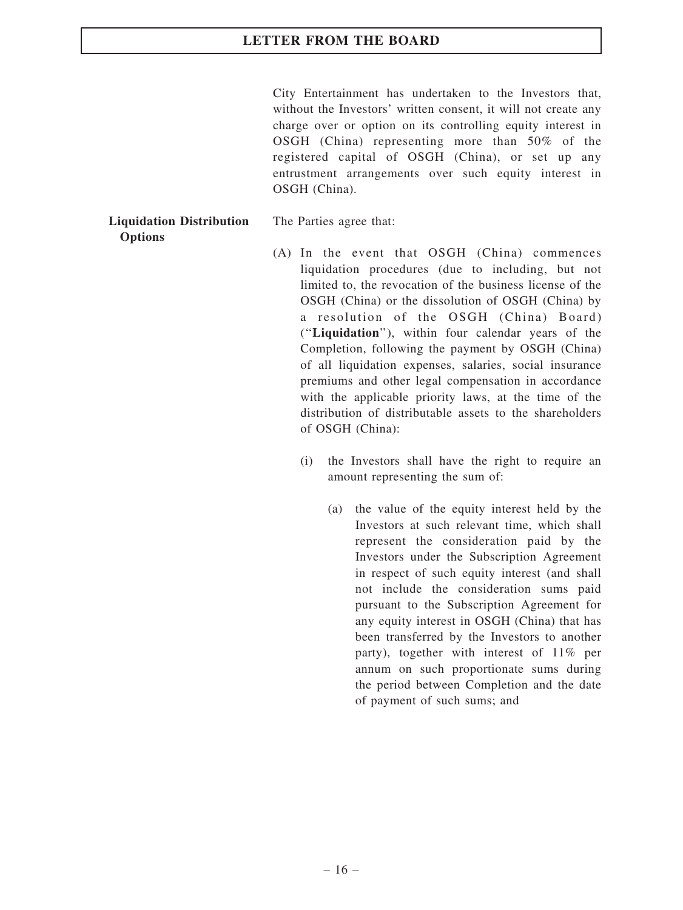City Entertainment has undertaken to the Investors that, without the Investors' written consent, it will not create any charge over or option on its controlling equity interest in OSGH (China) representing more than 50% of the registered capital of OSGH (China), or set up any entrustment arrangements over such equity interest in OSGH (China).

#### Liquidation Distribution **Options**

The Parties agree that:

- (A) In the event that OSGH (China) commences liquidation procedures (due to including, but not limited to, the revocation of the business license of the OSGH (China) or the dissolution of OSGH (China) by a resolution of the OSGH (China) Board) (''Liquidation''), within four calendar years of the Completion, following the payment by OSGH (China) of all liquidation expenses, salaries, social insurance premiums and other legal compensation in accordance with the applicable priority laws, at the time of the distribution of distributable assets to the shareholders of OSGH (China):
	- (i) the Investors shall have the right to require an amount representing the sum of:
		- (a) the value of the equity interest held by the Investors at such relevant time, which shall represent the consideration paid by the Investors under the Subscription Agreement in respect of such equity interest (and shall not include the consideration sums paid pursuant to the Subscription Agreement for any equity interest in OSGH (China) that has been transferred by the Investors to another party), together with interest of 11% per annum on such proportionate sums during the period between Completion and the date of payment of such sums; and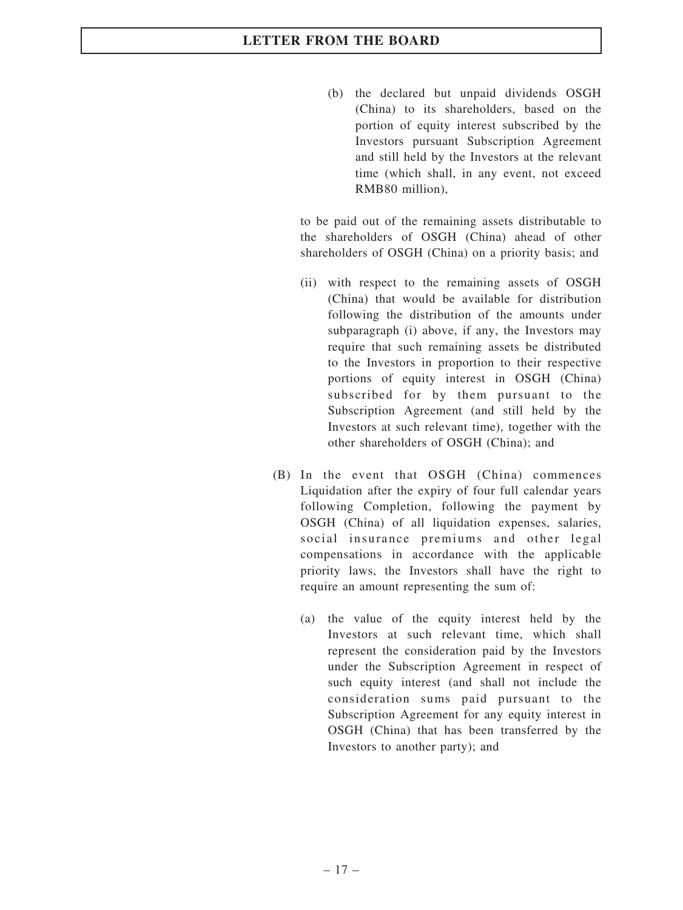(b) the declared but unpaid dividends OSGH (China) to its shareholders, based on the portion of equity interest subscribed by the Investors pursuant Subscription Agreement and still held by the Investors at the relevant time (which shall, in any event, not exceed RMB80 million),

to be paid out of the remaining assets distributable to the shareholders of OSGH (China) ahead of other shareholders of OSGH (China) on a priority basis; and

- (ii) with respect to the remaining assets of OSGH (China) that would be available for distribution following the distribution of the amounts under subparagraph (i) above, if any, the Investors may require that such remaining assets be distributed to the Investors in proportion to their respective portions of equity interest in OSGH (China) subscribed for by them pursuant to the Subscription Agreement (and still held by the Investors at such relevant time), together with the other shareholders of OSGH (China); and
- (B) In the event that OSGH (China) commences Liquidation after the expiry of four full calendar years following Completion, following the payment by OSGH (China) of all liquidation expenses, salaries, social insurance premiums and other legal compensations in accordance with the applicable priority laws, the Investors shall have the right to require an amount representing the sum of:
	- (a) the value of the equity interest held by the Investors at such relevant time, which shall represent the consideration paid by the Investors under the Subscription Agreement in respect of such equity interest (and shall not include the consideration sums paid pursuant to the Subscription Agreement for any equity interest in OSGH (China) that has been transferred by the Investors to another party); and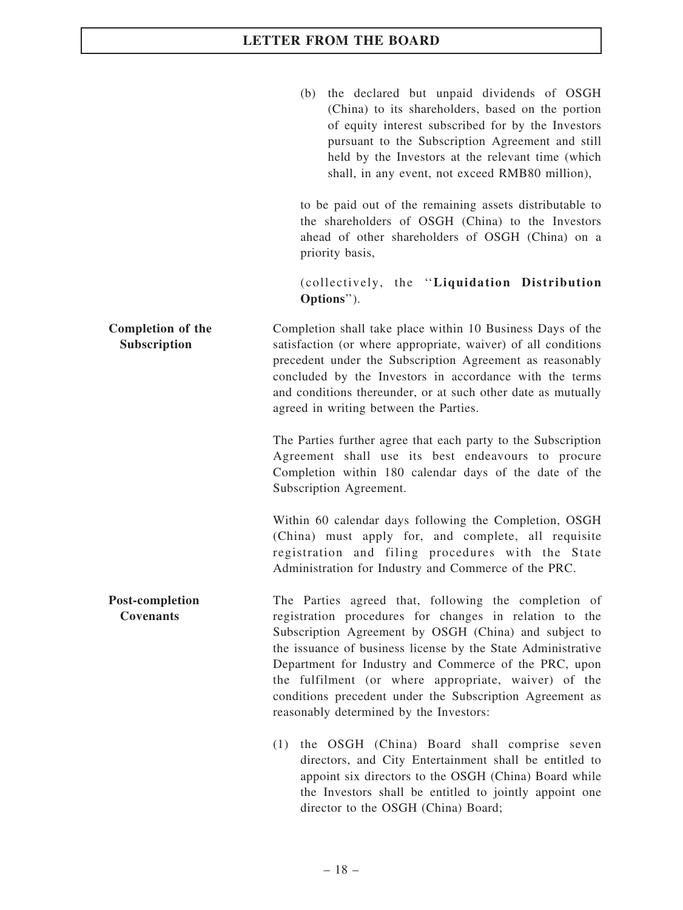(b) the declared but unpaid dividends of OSGH (China) to its shareholders, based on the portion of equity interest subscribed for by the Investors pursuant to the Subscription Agreement and still held by the Investors at the relevant time (which shall, in any event, not exceed RMB80 million),

to be paid out of the remaining assets distributable to the shareholders of OSGH (China) to the Investors ahead of other shareholders of OSGH (China) on a priority basis,

(collectively, the ''Liquidation Distribution Options'').

Completion of the Subscription Completion shall take place within 10 Business Days of the satisfaction (or where appropriate, waiver) of all conditions precedent under the Subscription Agreement as reasonably concluded by the Investors in accordance with the terms and conditions thereunder, or at such other date as mutually agreed in writing between the Parties.

> The Parties further agree that each party to the Subscription Agreement shall use its best endeavours to procure Completion within 180 calendar days of the date of the Subscription Agreement.

> Within 60 calendar days following the Completion, OSGH (China) must apply for, and complete, all requisite registration and filing procedures with the State Administration for Industry and Commerce of the PRC.

Post-completion Covenants The Parties agreed that, following the completion of registration procedures for changes in relation to the Subscription Agreement by OSGH (China) and subject to the issuance of business license by the State Administrative Department for Industry and Commerce of the PRC, upon the fulfilment (or where appropriate, waiver) of the conditions precedent under the Subscription Agreement as reasonably determined by the Investors:

> (1) the OSGH (China) Board shall comprise seven directors, and City Entertainment shall be entitled to appoint six directors to the OSGH (China) Board while the Investors shall be entitled to jointly appoint one director to the OSGH (China) Board;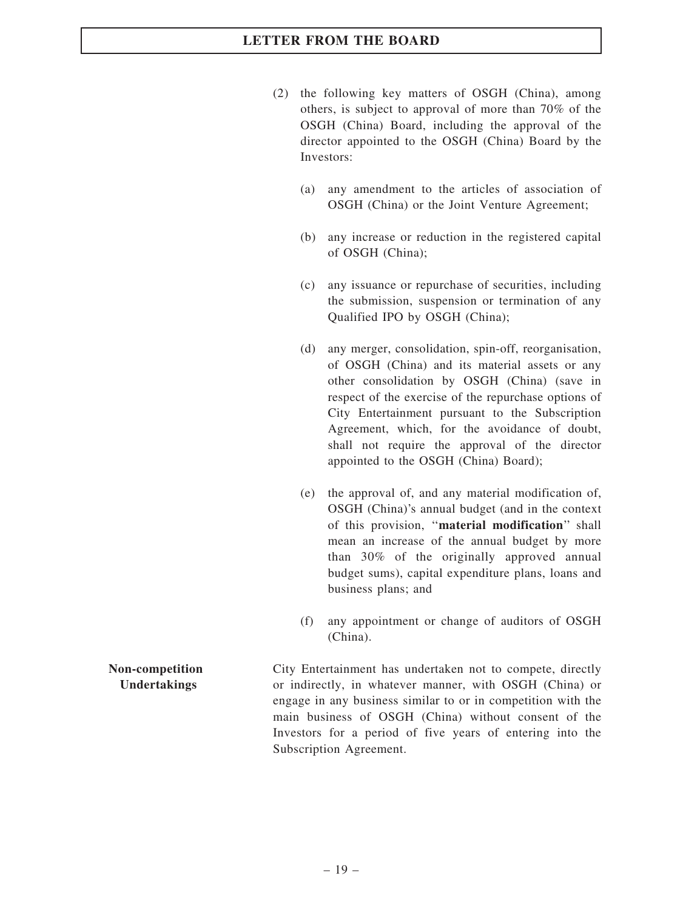- (2) the following key matters of OSGH (China), among others, is subject to approval of more than 70% of the OSGH (China) Board, including the approval of the director appointed to the OSGH (China) Board by the Investors:
	- (a) any amendment to the articles of association of OSGH (China) or the Joint Venture Agreement;
	- (b) any increase or reduction in the registered capital of OSGH (China);
	- (c) any issuance or repurchase of securities, including the submission, suspension or termination of any Qualified IPO by OSGH (China);
	- (d) any merger, consolidation, spin-off, reorganisation, of OSGH (China) and its material assets or any other consolidation by OSGH (China) (save in respect of the exercise of the repurchase options of City Entertainment pursuant to the Subscription Agreement, which, for the avoidance of doubt, shall not require the approval of the director appointed to the OSGH (China) Board);
	- (e) the approval of, and any material modification of, OSGH (China)'s annual budget (and in the context of this provision, "material modification" shall mean an increase of the annual budget by more than 30% of the originally approved annual budget sums), capital expenditure plans, loans and business plans; and
	- (f) any appointment or change of auditors of OSGH (China).

City Entertainment has undertaken not to compete, directly or indirectly, in whatever manner, with OSGH (China) or engage in any business similar to or in competition with the main business of OSGH (China) without consent of the Investors for a period of five years of entering into the Subscription Agreement.

#### Non-competition Undertakings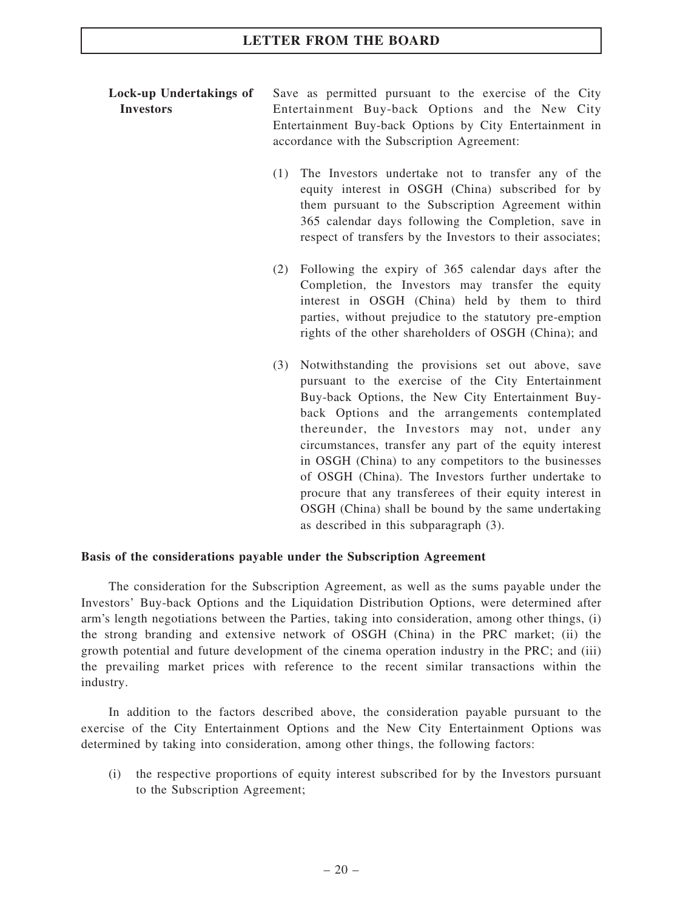### Lock-up Undertakings of Investors

Save as permitted pursuant to the exercise of the City Entertainment Buy-back Options and the New City Entertainment Buy-back Options by City Entertainment in accordance with the Subscription Agreement:

- (1) The Investors undertake not to transfer any of the equity interest in OSGH (China) subscribed for by them pursuant to the Subscription Agreement within 365 calendar days following the Completion, save in respect of transfers by the Investors to their associates;
- (2) Following the expiry of 365 calendar days after the Completion, the Investors may transfer the equity interest in OSGH (China) held by them to third parties, without prejudice to the statutory pre-emption rights of the other shareholders of OSGH (China); and
- (3) Notwithstanding the provisions set out above, save pursuant to the exercise of the City Entertainment Buy-back Options, the New City Entertainment Buyback Options and the arrangements contemplated thereunder, the Investors may not, under any circumstances, transfer any part of the equity interest in OSGH (China) to any competitors to the businesses of OSGH (China). The Investors further undertake to procure that any transferees of their equity interest in OSGH (China) shall be bound by the same undertaking as described in this subparagraph (3).

#### Basis of the considerations payable under the Subscription Agreement

The consideration for the Subscription Agreement, as well as the sums payable under the Investors' Buy-back Options and the Liquidation Distribution Options, were determined after arm's length negotiations between the Parties, taking into consideration, among other things, (i) the strong branding and extensive network of OSGH (China) in the PRC market; (ii) the growth potential and future development of the cinema operation industry in the PRC; and (iii) the prevailing market prices with reference to the recent similar transactions within the industry.

In addition to the factors described above, the consideration payable pursuant to the exercise of the City Entertainment Options and the New City Entertainment Options was determined by taking into consideration, among other things, the following factors:

(i) the respective proportions of equity interest subscribed for by the Investors pursuant to the Subscription Agreement;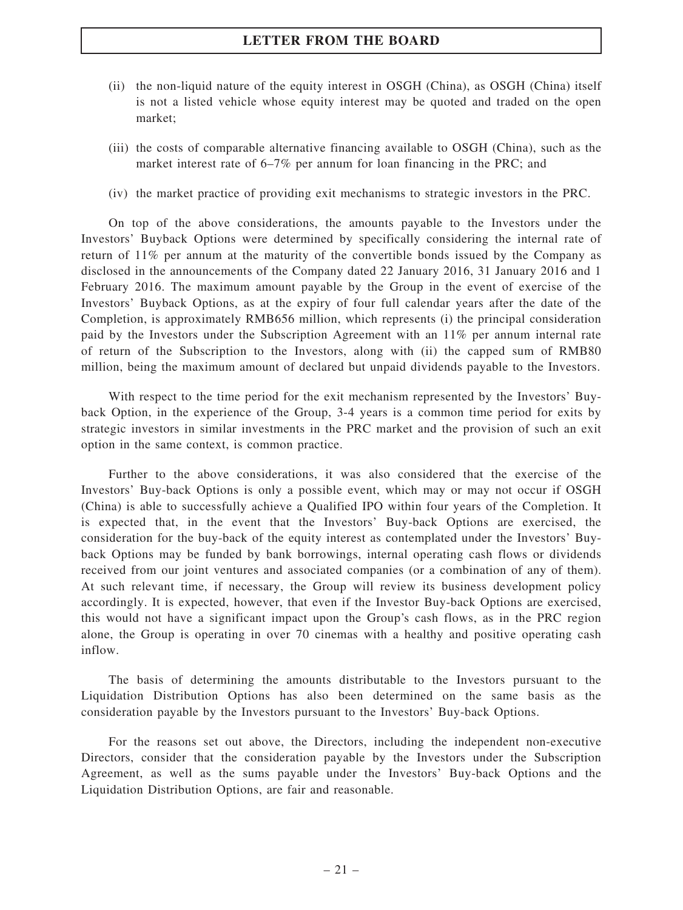- (ii) the non-liquid nature of the equity interest in OSGH (China), as OSGH (China) itself is not a listed vehicle whose equity interest may be quoted and traded on the open market;
- (iii) the costs of comparable alternative financing available to OSGH (China), such as the market interest rate of 6–7% per annum for loan financing in the PRC; and
- (iv) the market practice of providing exit mechanisms to strategic investors in the PRC.

On top of the above considerations, the amounts payable to the Investors under the Investors' Buyback Options were determined by specifically considering the internal rate of return of 11% per annum at the maturity of the convertible bonds issued by the Company as disclosed in the announcements of the Company dated 22 January 2016, 31 January 2016 and 1 February 2016. The maximum amount payable by the Group in the event of exercise of the Investors' Buyback Options, as at the expiry of four full calendar years after the date of the Completion, is approximately RMB656 million, which represents (i) the principal consideration paid by the Investors under the Subscription Agreement with an 11% per annum internal rate of return of the Subscription to the Investors, along with (ii) the capped sum of RMB80 million, being the maximum amount of declared but unpaid dividends payable to the Investors.

With respect to the time period for the exit mechanism represented by the Investors' Buyback Option, in the experience of the Group, 3-4 years is a common time period for exits by strategic investors in similar investments in the PRC market and the provision of such an exit option in the same context, is common practice.

Further to the above considerations, it was also considered that the exercise of the Investors' Buy-back Options is only a possible event, which may or may not occur if OSGH (China) is able to successfully achieve a Qualified IPO within four years of the Completion. It is expected that, in the event that the Investors' Buy-back Options are exercised, the consideration for the buy-back of the equity interest as contemplated under the Investors' Buyback Options may be funded by bank borrowings, internal operating cash flows or dividends received from our joint ventures and associated companies (or a combination of any of them). At such relevant time, if necessary, the Group will review its business development policy accordingly. It is expected, however, that even if the Investor Buy-back Options are exercised, this would not have a significant impact upon the Group's cash flows, as in the PRC region alone, the Group is operating in over 70 cinemas with a healthy and positive operating cash inflow.

The basis of determining the amounts distributable to the Investors pursuant to the Liquidation Distribution Options has also been determined on the same basis as the consideration payable by the Investors pursuant to the Investors' Buy-back Options.

For the reasons set out above, the Directors, including the independent non-executive Directors, consider that the consideration payable by the Investors under the Subscription Agreement, as well as the sums payable under the Investors' Buy-back Options and the Liquidation Distribution Options, are fair and reasonable.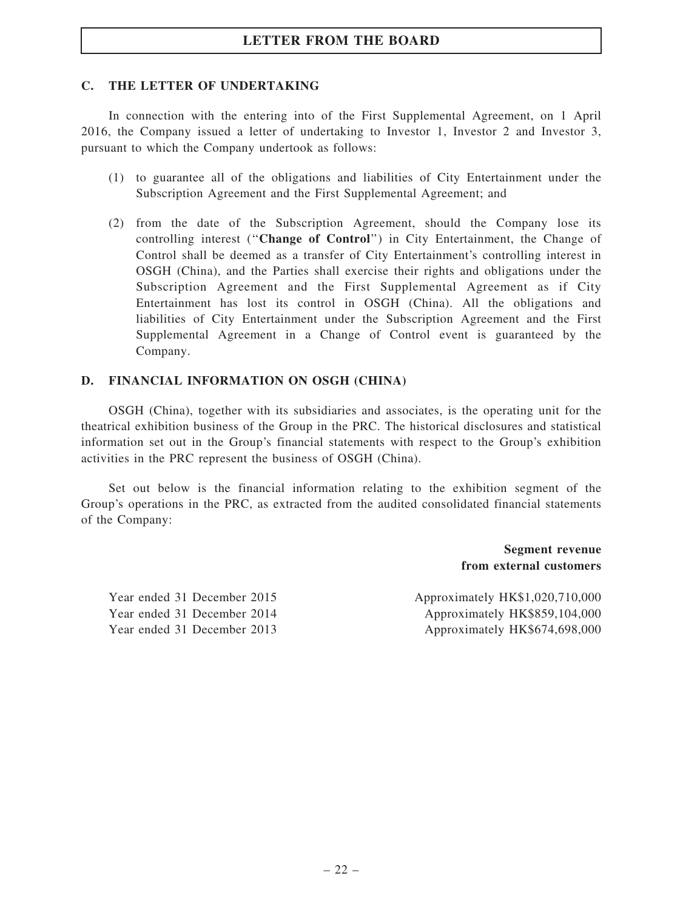#### C. THE LETTER OF UNDERTAKING

In connection with the entering into of the First Supplemental Agreement, on 1 April 2016, the Company issued a letter of undertaking to Investor 1, Investor 2 and Investor 3, pursuant to which the Company undertook as follows:

- (1) to guarantee all of the obligations and liabilities of City Entertainment under the Subscription Agreement and the First Supplemental Agreement; and
- (2) from the date of the Subscription Agreement, should the Company lose its controlling interest (''Change of Control'') in City Entertainment, the Change of Control shall be deemed as a transfer of City Entertainment's controlling interest in OSGH (China), and the Parties shall exercise their rights and obligations under the Subscription Agreement and the First Supplemental Agreement as if City Entertainment has lost its control in OSGH (China). All the obligations and liabilities of City Entertainment under the Subscription Agreement and the First Supplemental Agreement in a Change of Control event is guaranteed by the Company.

#### D. FINANCIAL INFORMATION ON OSGH (CHINA)

OSGH (China), together with its subsidiaries and associates, is the operating unit for the theatrical exhibition business of the Group in the PRC. The historical disclosures and statistical information set out in the Group's financial statements with respect to the Group's exhibition activities in the PRC represent the business of OSGH (China).

Set out below is the financial information relating to the exhibition segment of the Group's operations in the PRC, as extracted from the audited consolidated financial statements of the Company:

> Segment revenue from external customers

Year ended 31 December 2015 Approximately HK\$1,020,710,000 Year ended 31 December 2014 Approximately HK\$859,104,000 Year ended 31 December 2013 Approximately HK\$674,698,000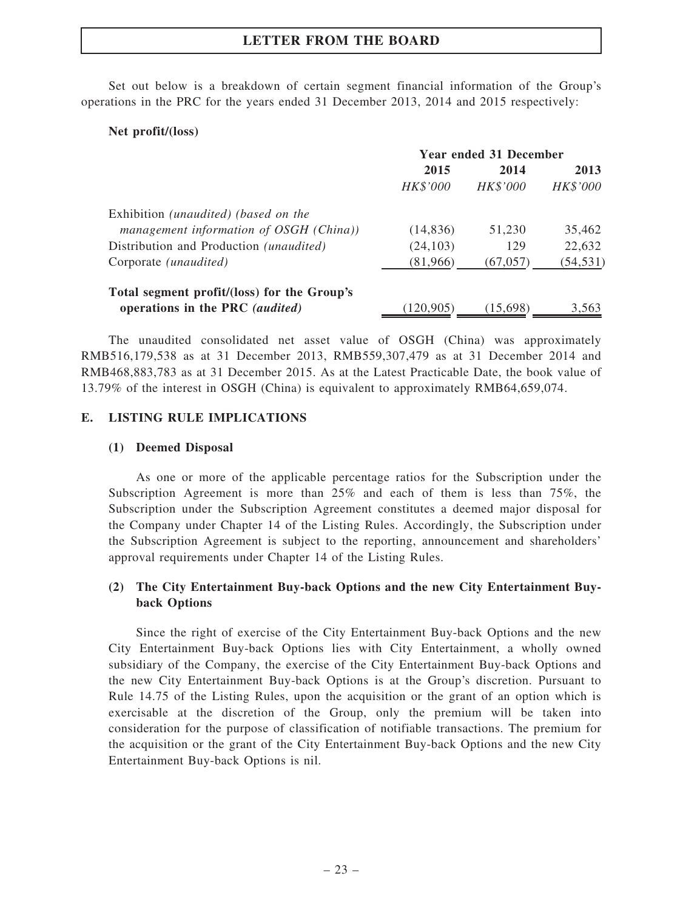Set out below is a breakdown of certain segment financial information of the Group's operations in the PRC for the years ended 31 December 2013, 2014 and 2015 respectively:

### Net profit/(loss)

|                                                  | <b>Year ended 31 December</b> |           |           |
|--------------------------------------------------|-------------------------------|-----------|-----------|
|                                                  | 2015                          | 2014      | 2013      |
|                                                  | HK\$'000                      | HK\$'000  | HK\$'000  |
| Exhibition <i>(unaudited) (based on the</i>      |                               |           |           |
| management information of OSGH (China))          | (14, 836)                     | 51,230    | 35,462    |
| Distribution and Production ( <i>unaudited</i> ) | (24, 103)                     | 129       | 22,632    |
| Corporate <i>(unaudited)</i>                     | (81,966)                      | (67, 057) | (54, 531) |
| Total segment profit/(loss) for the Group's      |                               |           |           |
| operations in the PRC (audited)                  | (120, 905)                    | (15,698)  | 3,563     |

The unaudited consolidated net asset value of OSGH (China) was approximately RMB516,179,538 as at 31 December 2013, RMB559,307,479 as at 31 December 2014 and RMB468,883,783 as at 31 December 2015. As at the Latest Practicable Date, the book value of 13.79% of the interest in OSGH (China) is equivalent to approximately RMB64,659,074.

### E. LISTING RULE IMPLICATIONS

### (1) Deemed Disposal

As one or more of the applicable percentage ratios for the Subscription under the Subscription Agreement is more than 25% and each of them is less than 75%, the Subscription under the Subscription Agreement constitutes a deemed major disposal for the Company under Chapter 14 of the Listing Rules. Accordingly, the Subscription under the Subscription Agreement is subject to the reporting, announcement and shareholders' approval requirements under Chapter 14 of the Listing Rules.

## (2) The City Entertainment Buy-back Options and the new City Entertainment Buyback Options

Since the right of exercise of the City Entertainment Buy-back Options and the new City Entertainment Buy-back Options lies with City Entertainment, a wholly owned subsidiary of the Company, the exercise of the City Entertainment Buy-back Options and the new City Entertainment Buy-back Options is at the Group's discretion. Pursuant to Rule 14.75 of the Listing Rules, upon the acquisition or the grant of an option which is exercisable at the discretion of the Group, only the premium will be taken into consideration for the purpose of classification of notifiable transactions. The premium for the acquisition or the grant of the City Entertainment Buy-back Options and the new City Entertainment Buy-back Options is nil.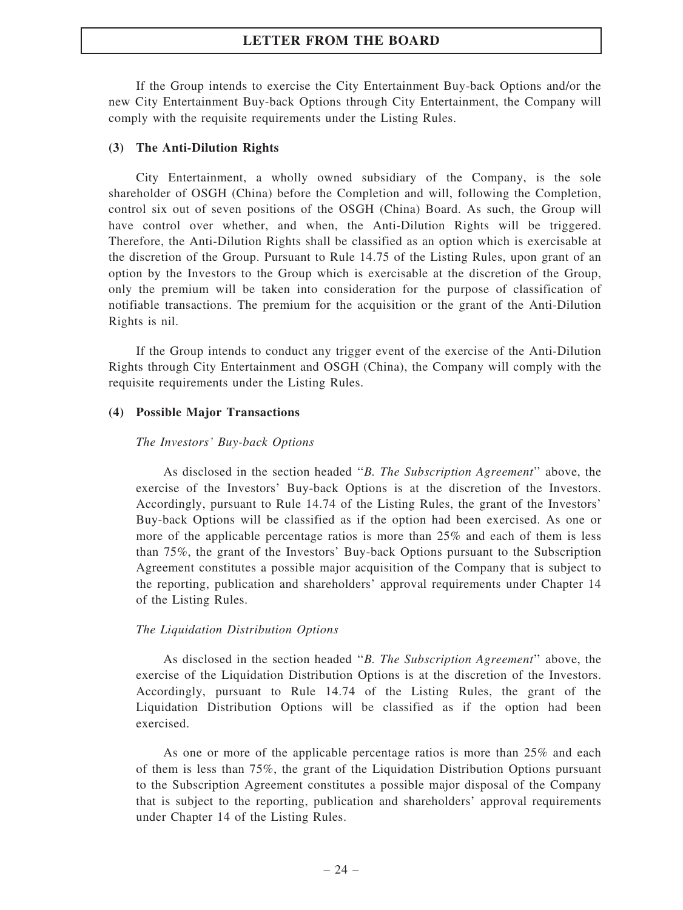If the Group intends to exercise the City Entertainment Buy-back Options and/or the new City Entertainment Buy-back Options through City Entertainment, the Company will comply with the requisite requirements under the Listing Rules.

#### (3) The Anti-Dilution Rights

City Entertainment, a wholly owned subsidiary of the Company, is the sole shareholder of OSGH (China) before the Completion and will, following the Completion, control six out of seven positions of the OSGH (China) Board. As such, the Group will have control over whether, and when, the Anti-Dilution Rights will be triggered. Therefore, the Anti-Dilution Rights shall be classified as an option which is exercisable at the discretion of the Group. Pursuant to Rule 14.75 of the Listing Rules, upon grant of an option by the Investors to the Group which is exercisable at the discretion of the Group, only the premium will be taken into consideration for the purpose of classification of notifiable transactions. The premium for the acquisition or the grant of the Anti-Dilution Rights is nil.

If the Group intends to conduct any trigger event of the exercise of the Anti-Dilution Rights through City Entertainment and OSGH (China), the Company will comply with the requisite requirements under the Listing Rules.

#### (4) Possible Major Transactions

#### The Investors' Buy-back Options

As disclosed in the section headed ''B. The Subscription Agreement'' above, the exercise of the Investors' Buy-back Options is at the discretion of the Investors. Accordingly, pursuant to Rule 14.74 of the Listing Rules, the grant of the Investors' Buy-back Options will be classified as if the option had been exercised. As one or more of the applicable percentage ratios is more than 25% and each of them is less than 75%, the grant of the Investors' Buy-back Options pursuant to the Subscription Agreement constitutes a possible major acquisition of the Company that is subject to the reporting, publication and shareholders' approval requirements under Chapter 14 of the Listing Rules.

#### The Liquidation Distribution Options

As disclosed in the section headed ''B. The Subscription Agreement'' above, the exercise of the Liquidation Distribution Options is at the discretion of the Investors. Accordingly, pursuant to Rule 14.74 of the Listing Rules, the grant of the Liquidation Distribution Options will be classified as if the option had been exercised.

As one or more of the applicable percentage ratios is more than 25% and each of them is less than 75%, the grant of the Liquidation Distribution Options pursuant to the Subscription Agreement constitutes a possible major disposal of the Company that is subject to the reporting, publication and shareholders' approval requirements under Chapter 14 of the Listing Rules.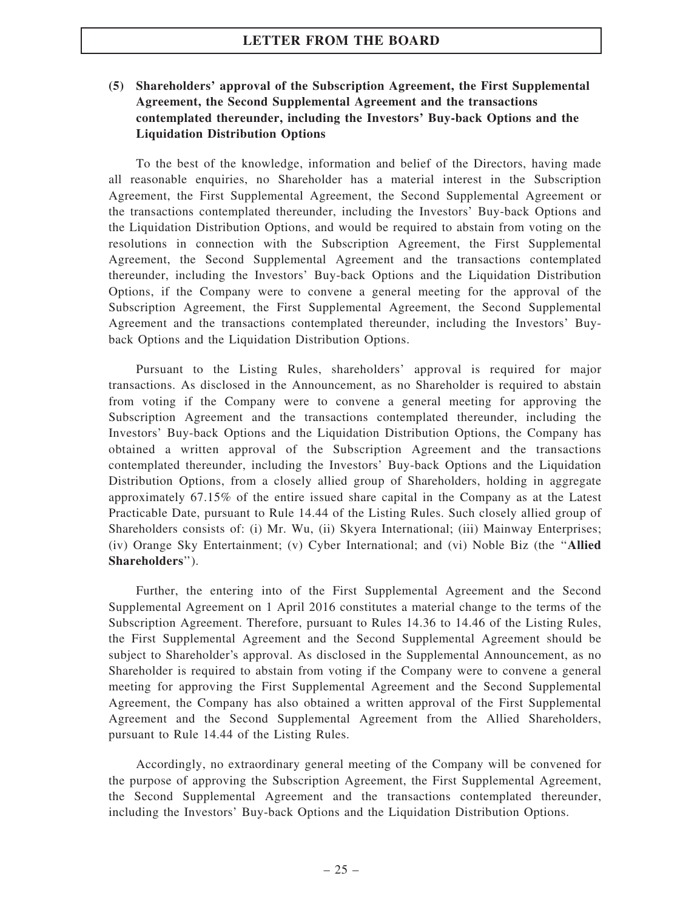## (5) Shareholders' approval of the Subscription Agreement, the First Supplemental Agreement, the Second Supplemental Agreement and the transactions contemplated thereunder, including the Investors' Buy-back Options and the Liquidation Distribution Options

To the best of the knowledge, information and belief of the Directors, having made all reasonable enquiries, no Shareholder has a material interest in the Subscription Agreement, the First Supplemental Agreement, the Second Supplemental Agreement or the transactions contemplated thereunder, including the Investors' Buy-back Options and the Liquidation Distribution Options, and would be required to abstain from voting on the resolutions in connection with the Subscription Agreement, the First Supplemental Agreement, the Second Supplemental Agreement and the transactions contemplated thereunder, including the Investors' Buy-back Options and the Liquidation Distribution Options, if the Company were to convene a general meeting for the approval of the Subscription Agreement, the First Supplemental Agreement, the Second Supplemental Agreement and the transactions contemplated thereunder, including the Investors' Buyback Options and the Liquidation Distribution Options.

Pursuant to the Listing Rules, shareholders' approval is required for major transactions. As disclosed in the Announcement, as no Shareholder is required to abstain from voting if the Company were to convene a general meeting for approving the Subscription Agreement and the transactions contemplated thereunder, including the Investors' Buy-back Options and the Liquidation Distribution Options, the Company has obtained a written approval of the Subscription Agreement and the transactions contemplated thereunder, including the Investors' Buy-back Options and the Liquidation Distribution Options, from a closely allied group of Shareholders, holding in aggregate approximately 67.15% of the entire issued share capital in the Company as at the Latest Practicable Date, pursuant to Rule 14.44 of the Listing Rules. Such closely allied group of Shareholders consists of: (i) Mr. Wu, (ii) Skyera International; (iii) Mainway Enterprises; (iv) Orange Sky Entertainment; (v) Cyber International; and (vi) Noble Biz (the ''Allied Shareholders'').

Further, the entering into of the First Supplemental Agreement and the Second Supplemental Agreement on 1 April 2016 constitutes a material change to the terms of the Subscription Agreement. Therefore, pursuant to Rules 14.36 to 14.46 of the Listing Rules, the First Supplemental Agreement and the Second Supplemental Agreement should be subject to Shareholder's approval. As disclosed in the Supplemental Announcement, as no Shareholder is required to abstain from voting if the Company were to convene a general meeting for approving the First Supplemental Agreement and the Second Supplemental Agreement, the Company has also obtained a written approval of the First Supplemental Agreement and the Second Supplemental Agreement from the Allied Shareholders, pursuant to Rule 14.44 of the Listing Rules.

Accordingly, no extraordinary general meeting of the Company will be convened for the purpose of approving the Subscription Agreement, the First Supplemental Agreement, the Second Supplemental Agreement and the transactions contemplated thereunder, including the Investors' Buy-back Options and the Liquidation Distribution Options.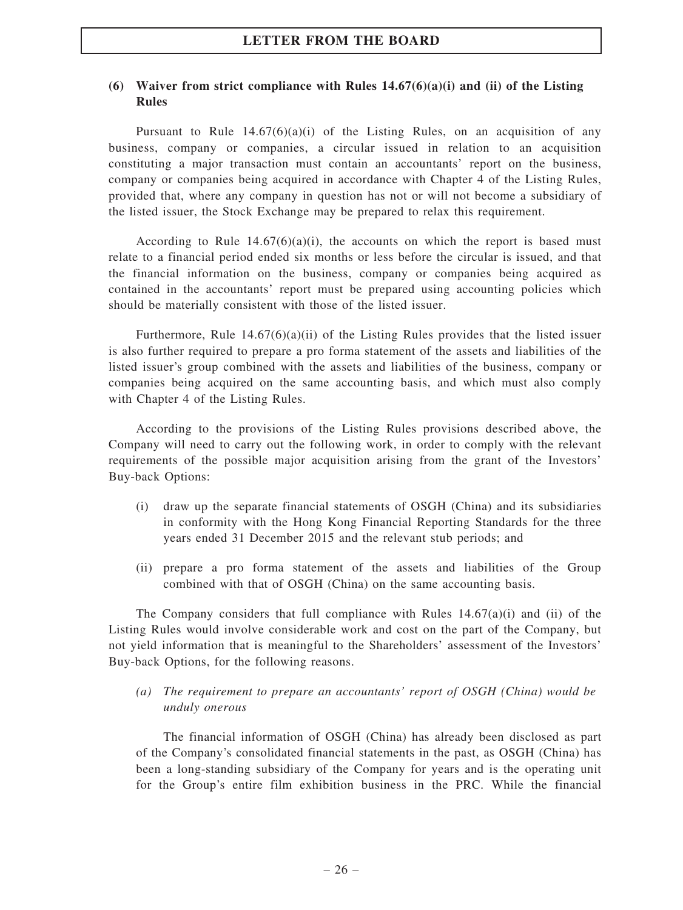### (6) Waiver from strict compliance with Rules  $14.67(6)(a)(i)$  and (ii) of the Listing Rules

Pursuant to Rule  $14.67(6)(a)(i)$  of the Listing Rules, on an acquisition of any business, company or companies, a circular issued in relation to an acquisition constituting a major transaction must contain an accountants' report on the business, company or companies being acquired in accordance with Chapter 4 of the Listing Rules, provided that, where any company in question has not or will not become a subsidiary of the listed issuer, the Stock Exchange may be prepared to relax this requirement.

According to Rule  $14.67(6)(a)(i)$ , the accounts on which the report is based must relate to a financial period ended six months or less before the circular is issued, and that the financial information on the business, company or companies being acquired as contained in the accountants' report must be prepared using accounting policies which should be materially consistent with those of the listed issuer.

Furthermore, Rule  $14.67(6)(a)(ii)$  of the Listing Rules provides that the listed issuer is also further required to prepare a pro forma statement of the assets and liabilities of the listed issuer's group combined with the assets and liabilities of the business, company or companies being acquired on the same accounting basis, and which must also comply with Chapter 4 of the Listing Rules.

According to the provisions of the Listing Rules provisions described above, the Company will need to carry out the following work, in order to comply with the relevant requirements of the possible major acquisition arising from the grant of the Investors' Buy-back Options:

- (i) draw up the separate financial statements of OSGH (China) and its subsidiaries in conformity with the Hong Kong Financial Reporting Standards for the three years ended 31 December 2015 and the relevant stub periods; and
- (ii) prepare a pro forma statement of the assets and liabilities of the Group combined with that of OSGH (China) on the same accounting basis.

The Company considers that full compliance with Rules  $14.67(a)(i)$  and (ii) of the Listing Rules would involve considerable work and cost on the part of the Company, but not yield information that is meaningful to the Shareholders' assessment of the Investors' Buy-back Options, for the following reasons.

(a) The requirement to prepare an accountants' report of OSGH (China) would be unduly onerous

The financial information of OSGH (China) has already been disclosed as part of the Company's consolidated financial statements in the past, as OSGH (China) has been a long-standing subsidiary of the Company for years and is the operating unit for the Group's entire film exhibition business in the PRC. While the financial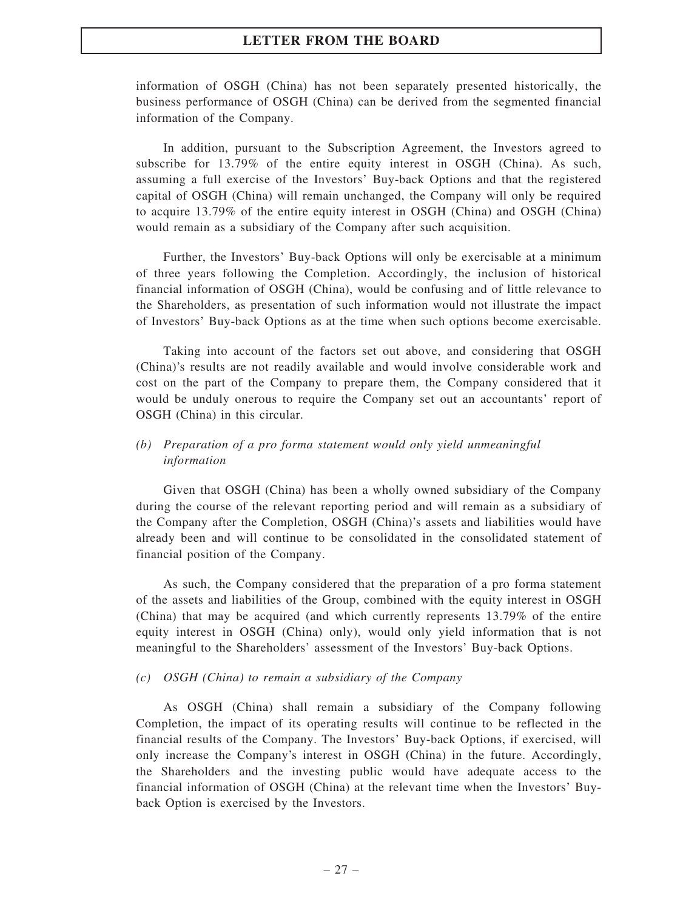information of OSGH (China) has not been separately presented historically, the business performance of OSGH (China) can be derived from the segmented financial information of the Company.

In addition, pursuant to the Subscription Agreement, the Investors agreed to subscribe for 13.79% of the entire equity interest in OSGH (China). As such, assuming a full exercise of the Investors' Buy-back Options and that the registered capital of OSGH (China) will remain unchanged, the Company will only be required to acquire 13.79% of the entire equity interest in OSGH (China) and OSGH (China) would remain as a subsidiary of the Company after such acquisition.

Further, the Investors' Buy-back Options will only be exercisable at a minimum of three years following the Completion. Accordingly, the inclusion of historical financial information of OSGH (China), would be confusing and of little relevance to the Shareholders, as presentation of such information would not illustrate the impact of Investors' Buy-back Options as at the time when such options become exercisable.

Taking into account of the factors set out above, and considering that OSGH (China)'s results are not readily available and would involve considerable work and cost on the part of the Company to prepare them, the Company considered that it would be unduly onerous to require the Company set out an accountants' report of OSGH (China) in this circular.

#### (b) Preparation of a pro forma statement would only yield unmeaningful information

Given that OSGH (China) has been a wholly owned subsidiary of the Company during the course of the relevant reporting period and will remain as a subsidiary of the Company after the Completion, OSGH (China)'s assets and liabilities would have already been and will continue to be consolidated in the consolidated statement of financial position of the Company.

As such, the Company considered that the preparation of a pro forma statement of the assets and liabilities of the Group, combined with the equity interest in OSGH (China) that may be acquired (and which currently represents 13.79% of the entire equity interest in OSGH (China) only), would only yield information that is not meaningful to the Shareholders' assessment of the Investors' Buy-back Options.

#### (c) OSGH (China) to remain a subsidiary of the Company

As OSGH (China) shall remain a subsidiary of the Company following Completion, the impact of its operating results will continue to be reflected in the financial results of the Company. The Investors' Buy-back Options, if exercised, will only increase the Company's interest in OSGH (China) in the future. Accordingly, the Shareholders and the investing public would have adequate access to the financial information of OSGH (China) at the relevant time when the Investors' Buyback Option is exercised by the Investors.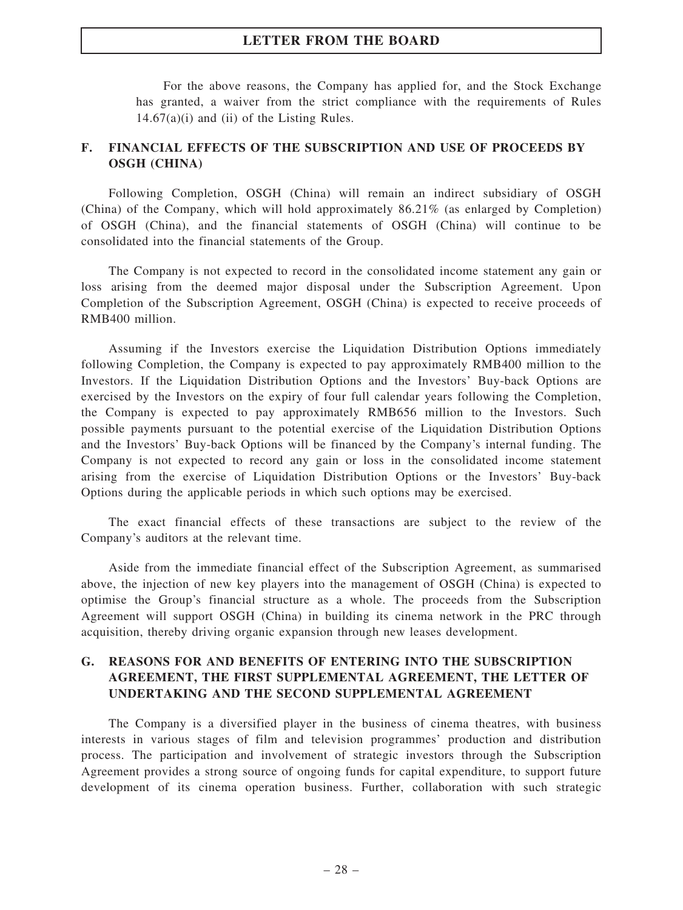For the above reasons, the Company has applied for, and the Stock Exchange has granted, a waiver from the strict compliance with the requirements of Rules  $14.67(a)(i)$  and (ii) of the Listing Rules.

### F. FINANCIAL EFFECTS OF THE SUBSCRIPTION AND USE OF PROCEEDS BY OSGH (CHINA)

Following Completion, OSGH (China) will remain an indirect subsidiary of OSGH (China) of the Company, which will hold approximately 86.21% (as enlarged by Completion) of OSGH (China), and the financial statements of OSGH (China) will continue to be consolidated into the financial statements of the Group.

The Company is not expected to record in the consolidated income statement any gain or loss arising from the deemed major disposal under the Subscription Agreement. Upon Completion of the Subscription Agreement, OSGH (China) is expected to receive proceeds of RMB400 million.

Assuming if the Investors exercise the Liquidation Distribution Options immediately following Completion, the Company is expected to pay approximately RMB400 million to the Investors. If the Liquidation Distribution Options and the Investors' Buy-back Options are exercised by the Investors on the expiry of four full calendar years following the Completion, the Company is expected to pay approximately RMB656 million to the Investors. Such possible payments pursuant to the potential exercise of the Liquidation Distribution Options and the Investors' Buy-back Options will be financed by the Company's internal funding. The Company is not expected to record any gain or loss in the consolidated income statement arising from the exercise of Liquidation Distribution Options or the Investors' Buy-back Options during the applicable periods in which such options may be exercised.

The exact financial effects of these transactions are subject to the review of the Company's auditors at the relevant time.

Aside from the immediate financial effect of the Subscription Agreement, as summarised above, the injection of new key players into the management of OSGH (China) is expected to optimise the Group's financial structure as a whole. The proceeds from the Subscription Agreement will support OSGH (China) in building its cinema network in the PRC through acquisition, thereby driving organic expansion through new leases development.

#### G. REASONS FOR AND BENEFITS OF ENTERING INTO THE SUBSCRIPTION AGREEMENT, THE FIRST SUPPLEMENTAL AGREEMENT, THE LETTER OF UNDERTAKING AND THE SECOND SUPPLEMENTAL AGREEMENT

The Company is a diversified player in the business of cinema theatres, with business interests in various stages of film and television programmes' production and distribution process. The participation and involvement of strategic investors through the Subscription Agreement provides a strong source of ongoing funds for capital expenditure, to support future development of its cinema operation business. Further, collaboration with such strategic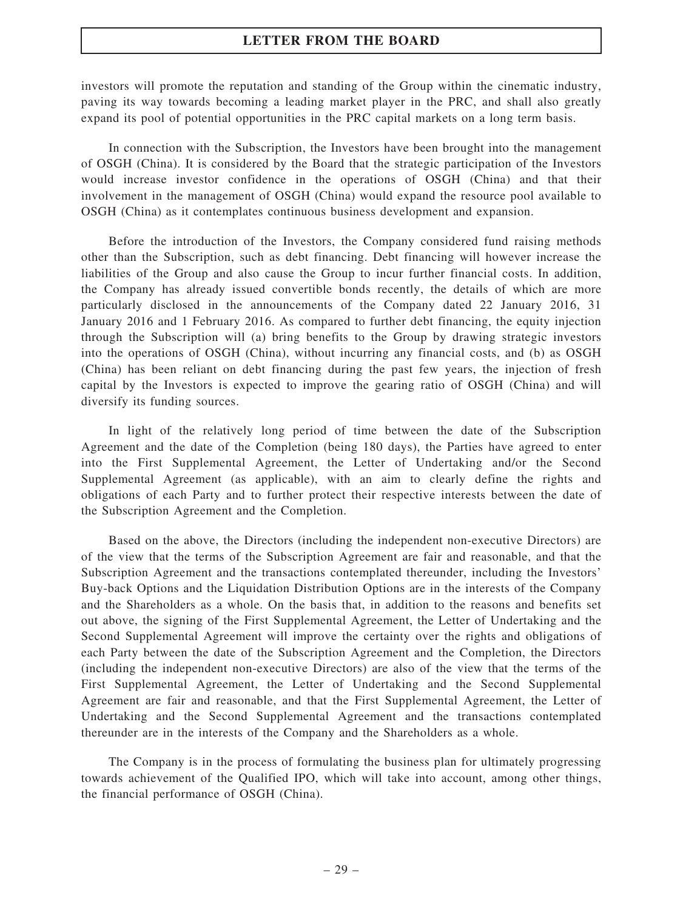investors will promote the reputation and standing of the Group within the cinematic industry, paving its way towards becoming a leading market player in the PRC, and shall also greatly expand its pool of potential opportunities in the PRC capital markets on a long term basis.

In connection with the Subscription, the Investors have been brought into the management of OSGH (China). It is considered by the Board that the strategic participation of the Investors would increase investor confidence in the operations of OSGH (China) and that their involvement in the management of OSGH (China) would expand the resource pool available to OSGH (China) as it contemplates continuous business development and expansion.

Before the introduction of the Investors, the Company considered fund raising methods other than the Subscription, such as debt financing. Debt financing will however increase the liabilities of the Group and also cause the Group to incur further financial costs. In addition, the Company has already issued convertible bonds recently, the details of which are more particularly disclosed in the announcements of the Company dated 22 January 2016, 31 January 2016 and 1 February 2016. As compared to further debt financing, the equity injection through the Subscription will (a) bring benefits to the Group by drawing strategic investors into the operations of OSGH (China), without incurring any financial costs, and (b) as OSGH (China) has been reliant on debt financing during the past few years, the injection of fresh capital by the Investors is expected to improve the gearing ratio of OSGH (China) and will diversify its funding sources.

In light of the relatively long period of time between the date of the Subscription Agreement and the date of the Completion (being 180 days), the Parties have agreed to enter into the First Supplemental Agreement, the Letter of Undertaking and/or the Second Supplemental Agreement (as applicable), with an aim to clearly define the rights and obligations of each Party and to further protect their respective interests between the date of the Subscription Agreement and the Completion.

Based on the above, the Directors (including the independent non-executive Directors) are of the view that the terms of the Subscription Agreement are fair and reasonable, and that the Subscription Agreement and the transactions contemplated thereunder, including the Investors' Buy-back Options and the Liquidation Distribution Options are in the interests of the Company and the Shareholders as a whole. On the basis that, in addition to the reasons and benefits set out above, the signing of the First Supplemental Agreement, the Letter of Undertaking and the Second Supplemental Agreement will improve the certainty over the rights and obligations of each Party between the date of the Subscription Agreement and the Completion, the Directors (including the independent non-executive Directors) are also of the view that the terms of the First Supplemental Agreement, the Letter of Undertaking and the Second Supplemental Agreement are fair and reasonable, and that the First Supplemental Agreement, the Letter of Undertaking and the Second Supplemental Agreement and the transactions contemplated thereunder are in the interests of the Company and the Shareholders as a whole.

The Company is in the process of formulating the business plan for ultimately progressing towards achievement of the Qualified IPO, which will take into account, among other things, the financial performance of OSGH (China).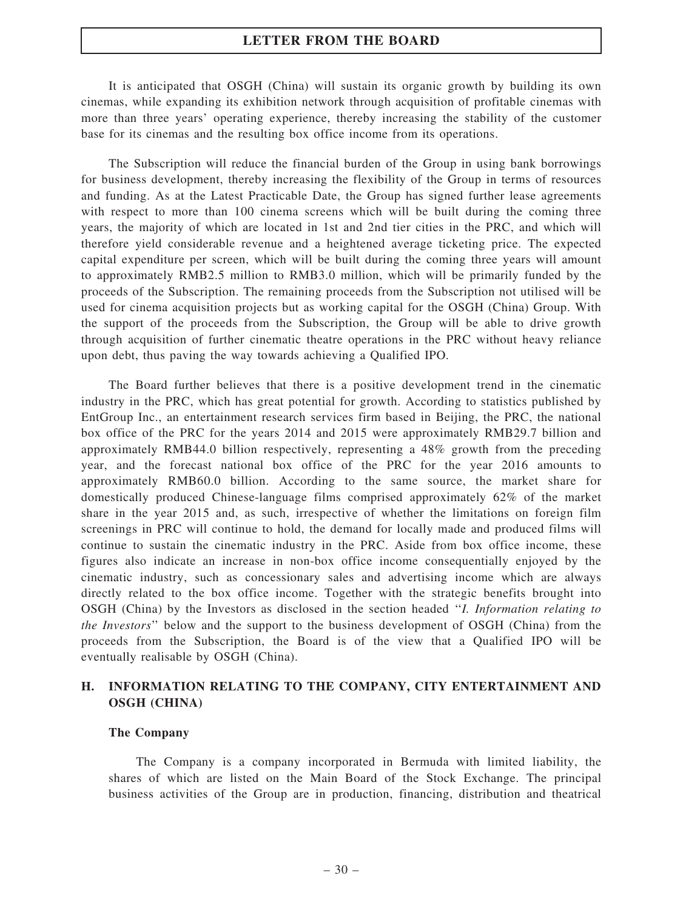It is anticipated that OSGH (China) will sustain its organic growth by building its own cinemas, while expanding its exhibition network through acquisition of profitable cinemas with more than three years' operating experience, thereby increasing the stability of the customer base for its cinemas and the resulting box office income from its operations.

The Subscription will reduce the financial burden of the Group in using bank borrowings for business development, thereby increasing the flexibility of the Group in terms of resources and funding. As at the Latest Practicable Date, the Group has signed further lease agreements with respect to more than 100 cinema screens which will be built during the coming three years, the majority of which are located in 1st and 2nd tier cities in the PRC, and which will therefore yield considerable revenue and a heightened average ticketing price. The expected capital expenditure per screen, which will be built during the coming three years will amount to approximately RMB2.5 million to RMB3.0 million, which will be primarily funded by the proceeds of the Subscription. The remaining proceeds from the Subscription not utilised will be used for cinema acquisition projects but as working capital for the OSGH (China) Group. With the support of the proceeds from the Subscription, the Group will be able to drive growth through acquisition of further cinematic theatre operations in the PRC without heavy reliance upon debt, thus paving the way towards achieving a Qualified IPO.

The Board further believes that there is a positive development trend in the cinematic industry in the PRC, which has great potential for growth. According to statistics published by EntGroup Inc., an entertainment research services firm based in Beijing, the PRC, the national box office of the PRC for the years 2014 and 2015 were approximately RMB29.7 billion and approximately RMB44.0 billion respectively, representing a 48% growth from the preceding year, and the forecast national box office of the PRC for the year 2016 amounts to approximately RMB60.0 billion. According to the same source, the market share for domestically produced Chinese-language films comprised approximately 62% of the market share in the year 2015 and, as such, irrespective of whether the limitations on foreign film screenings in PRC will continue to hold, the demand for locally made and produced films will continue to sustain the cinematic industry in the PRC. Aside from box office income, these figures also indicate an increase in non-box office income consequentially enjoyed by the cinematic industry, such as concessionary sales and advertising income which are always directly related to the box office income. Together with the strategic benefits brought into OSGH (China) by the Investors as disclosed in the section headed ''I. Information relating to the Investors'' below and the support to the business development of OSGH (China) from the proceeds from the Subscription, the Board is of the view that a Qualified IPO will be eventually realisable by OSGH (China).

### H. INFORMATION RELATING TO THE COMPANY, CITY ENTERTAINMENT AND OSGH (CHINA)

#### The Company

The Company is a company incorporated in Bermuda with limited liability, the shares of which are listed on the Main Board of the Stock Exchange. The principal business activities of the Group are in production, financing, distribution and theatrical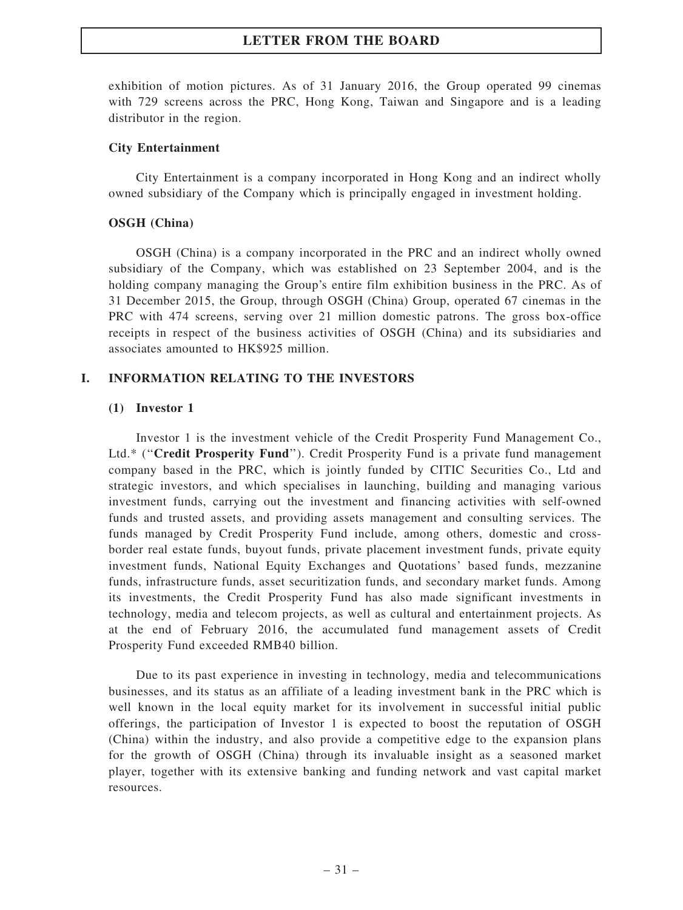exhibition of motion pictures. As of 31 January 2016, the Group operated 99 cinemas with 729 screens across the PRC, Hong Kong, Taiwan and Singapore and is a leading distributor in the region.

#### City Entertainment

City Entertainment is a company incorporated in Hong Kong and an indirect wholly owned subsidiary of the Company which is principally engaged in investment holding.

#### OSGH (China)

OSGH (China) is a company incorporated in the PRC and an indirect wholly owned subsidiary of the Company, which was established on 23 September 2004, and is the holding company managing the Group's entire film exhibition business in the PRC. As of 31 December 2015, the Group, through OSGH (China) Group, operated 67 cinemas in the PRC with 474 screens, serving over 21 million domestic patrons. The gross box-office receipts in respect of the business activities of OSGH (China) and its subsidiaries and associates amounted to HK\$925 million.

#### I. INFORMATION RELATING TO THE INVESTORS

#### (1) Investor 1

Investor 1 is the investment vehicle of the Credit Prosperity Fund Management Co., Ltd.\* ("Credit Prosperity Fund"). Credit Prosperity Fund is a private fund management company based in the PRC, which is jointly funded by CITIC Securities Co., Ltd and strategic investors, and which specialises in launching, building and managing various investment funds, carrying out the investment and financing activities with self-owned funds and trusted assets, and providing assets management and consulting services. The funds managed by Credit Prosperity Fund include, among others, domestic and crossborder real estate funds, buyout funds, private placement investment funds, private equity investment funds, National Equity Exchanges and Quotations' based funds, mezzanine funds, infrastructure funds, asset securitization funds, and secondary market funds. Among its investments, the Credit Prosperity Fund has also made significant investments in technology, media and telecom projects, as well as cultural and entertainment projects. As at the end of February 2016, the accumulated fund management assets of Credit Prosperity Fund exceeded RMB40 billion.

Due to its past experience in investing in technology, media and telecommunications businesses, and its status as an affiliate of a leading investment bank in the PRC which is well known in the local equity market for its involvement in successful initial public offerings, the participation of Investor 1 is expected to boost the reputation of OSGH (China) within the industry, and also provide a competitive edge to the expansion plans for the growth of OSGH (China) through its invaluable insight as a seasoned market player, together with its extensive banking and funding network and vast capital market resources.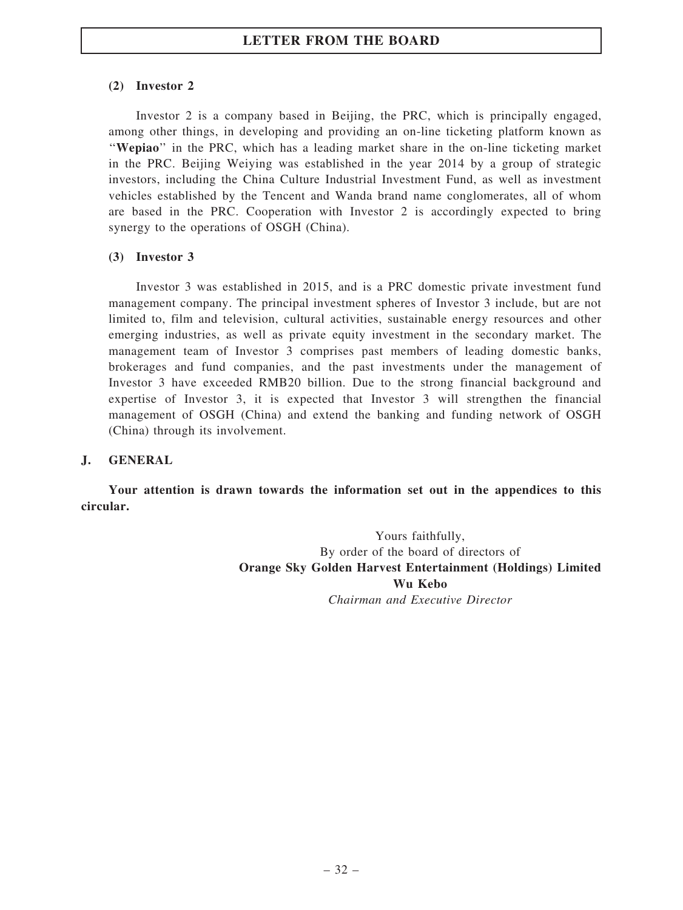### (2) Investor 2

Investor 2 is a company based in Beijing, the PRC, which is principally engaged, among other things, in developing and providing an on-line ticketing platform known as ''Wepiao'' in the PRC, which has a leading market share in the on-line ticketing market in the PRC. Beijing Weiying was established in the year 2014 by a group of strategic investors, including the China Culture Industrial Investment Fund, as well as investment vehicles established by the Tencent and Wanda brand name conglomerates, all of whom are based in the PRC. Cooperation with Investor 2 is accordingly expected to bring synergy to the operations of OSGH (China).

### (3) Investor 3

Investor 3 was established in 2015, and is a PRC domestic private investment fund management company. The principal investment spheres of Investor 3 include, but are not limited to, film and television, cultural activities, sustainable energy resources and other emerging industries, as well as private equity investment in the secondary market. The management team of Investor 3 comprises past members of leading domestic banks, brokerages and fund companies, and the past investments under the management of Investor 3 have exceeded RMB20 billion. Due to the strong financial background and expertise of Investor 3, it is expected that Investor 3 will strengthen the financial management of OSGH (China) and extend the banking and funding network of OSGH (China) through its involvement.

#### J. GENERAL

Your attention is drawn towards the information set out in the appendices to this circular.

> Yours faithfully, By order of the board of directors of Orange Sky Golden Harvest Entertainment (Holdings) Limited Wu Kebo Chairman and Executive Director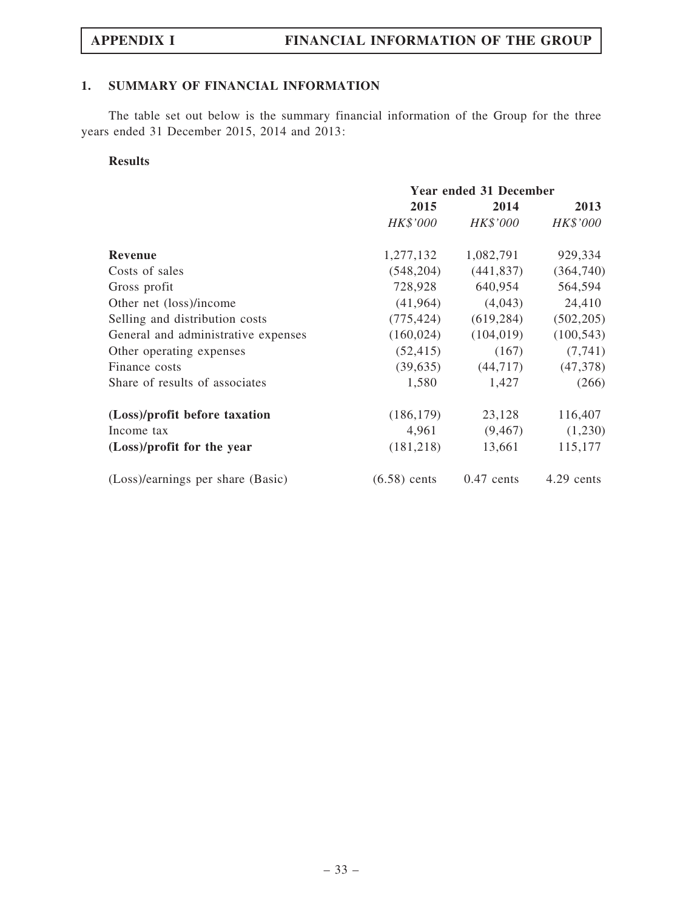### 1. SUMMARY OF FINANCIAL INFORMATION

The table set out below is the summary financial information of the Group for the three years ended 31 December 2015, 2014 and 2013:

#### Results

|                                     | <b>Year ended 31 December</b> |              |            |  |
|-------------------------------------|-------------------------------|--------------|------------|--|
|                                     | 2015                          | 2014         |            |  |
|                                     | HK\$'000                      | HK\$'000     | HK\$'000   |  |
| <b>Revenue</b>                      | 1,277,132                     | 1,082,791    | 929,334    |  |
| Costs of sales                      | (548, 204)                    | (441, 837)   | (364,740)  |  |
| Gross profit                        | 728,928                       | 640,954      | 564,594    |  |
| Other net (loss)/income             | (41, 964)                     | (4,043)      | 24,410     |  |
| Selling and distribution costs      | (775, 424)                    | (619, 284)   | (502, 205) |  |
| General and administrative expenses | (160, 024)                    | (104, 019)   | (100, 543) |  |
| Other operating expenses            | (52, 415)                     | (167)        | (7, 741)   |  |
| Finance costs                       | (39, 635)                     | (44, 717)    | (47,378)   |  |
| Share of results of associates      | 1,580                         | 1,427        | (266)      |  |
| (Loss)/profit before taxation       | (186, 179)                    | 23,128       | 116,407    |  |
| Income tax                          | 4,961                         | (9, 467)     | (1,230)    |  |
| (Loss)/profit for the year          | (181, 218)                    | 13,661       | 115,177    |  |
| (Loss)/earnings per share (Basic)   | $(6.58)$ cents                | $0.47$ cents | 4.29 cents |  |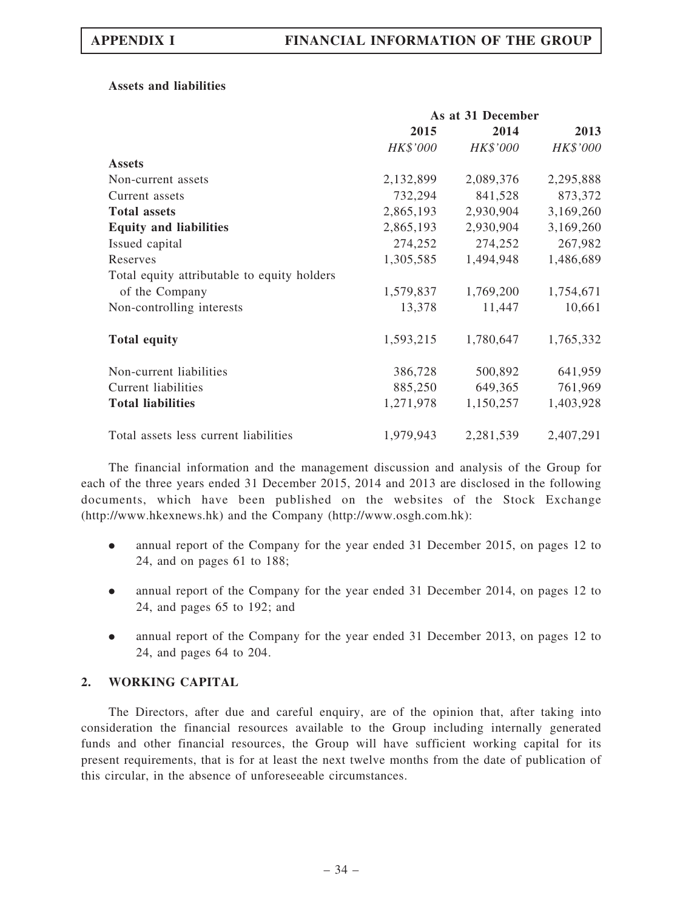#### Assets and liabilities

|                                             | As at 31 December |           |           |
|---------------------------------------------|-------------------|-----------|-----------|
|                                             | 2015              | 2014      | 2013      |
|                                             | HK\$'000          | HK\$'000  | HK\$'000  |
| <b>Assets</b>                               |                   |           |           |
| Non-current assets                          | 2,132,899         | 2,089,376 | 2,295,888 |
| Current assets                              | 732,294           | 841,528   | 873,372   |
| <b>Total assets</b>                         | 2,865,193         | 2,930,904 | 3,169,260 |
| <b>Equity and liabilities</b>               | 2,865,193         | 2,930,904 | 3,169,260 |
| Issued capital                              | 274,252           | 274,252   | 267,982   |
| Reserves                                    | 1,305,585         | 1,494,948 | 1,486,689 |
| Total equity attributable to equity holders |                   |           |           |
| of the Company                              | 1,579,837         | 1,769,200 | 1,754,671 |
| Non-controlling interests                   | 13,378            | 11,447    | 10,661    |
| <b>Total equity</b>                         | 1,593,215         | 1,780,647 | 1,765,332 |
| Non-current liabilities                     | 386,728           | 500,892   | 641,959   |
| <b>Current liabilities</b>                  | 885,250           | 649,365   | 761,969   |
| <b>Total liabilities</b>                    | 1,271,978         | 1,150,257 | 1,403,928 |
| Total assets less current liabilities       | 1,979,943         | 2,281,539 | 2,407,291 |

The financial information and the management discussion and analysis of the Group for each of the three years ended 31 December 2015, 2014 and 2013 are disclosed in the following documents, which have been published on the websites of the Stock Exchange (http://www.hkexnews.hk) and the Company (http://www.osgh.com.hk):

- . annual report of the Company for the year ended 31 December 2015, on pages 12 to 24, and on pages 61 to 188;
- . annual report of the Company for the year ended 31 December 2014, on pages 12 to 24, and pages 65 to 192; and
- . annual report of the Company for the year ended 31 December 2013, on pages 12 to 24, and pages 64 to 204.

#### 2. WORKING CAPITAL

The Directors, after due and careful enquiry, are of the opinion that, after taking into consideration the financial resources available to the Group including internally generated funds and other financial resources, the Group will have sufficient working capital for its present requirements, that is for at least the next twelve months from the date of publication of this circular, in the absence of unforeseeable circumstances.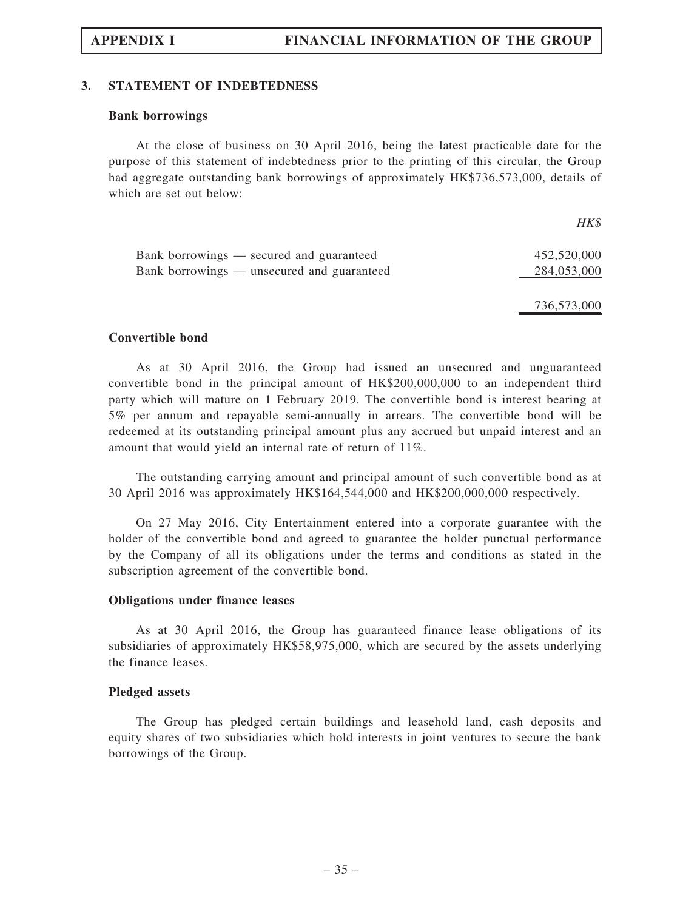#### 3. STATEMENT OF INDEBTEDNESS

#### Bank borrowings

At the close of business on 30 April 2016, being the latest practicable date for the purpose of this statement of indebtedness prior to the printing of this circular, the Group had aggregate outstanding bank borrowings of approximately HK\$736,573,000, details of which are set out below:

|                                            | $H K$ \$    |
|--------------------------------------------|-------------|
| Bank borrowings — secured and guaranteed   | 452,520,000 |
| Bank borrowings — unsecured and guaranteed | 284,053,000 |
|                                            | 736,573,000 |

#### Convertible bond

As at 30 April 2016, the Group had issued an unsecured and unguaranteed convertible bond in the principal amount of HK\$200,000,000 to an independent third party which will mature on 1 February 2019. The convertible bond is interest bearing at 5% per annum and repayable semi-annually in arrears. The convertible bond will be redeemed at its outstanding principal amount plus any accrued but unpaid interest and an amount that would yield an internal rate of return of 11%.

The outstanding carrying amount and principal amount of such convertible bond as at 30 April 2016 was approximately HK\$164,544,000 and HK\$200,000,000 respectively.

On 27 May 2016, City Entertainment entered into a corporate guarantee with the holder of the convertible bond and agreed to guarantee the holder punctual performance by the Company of all its obligations under the terms and conditions as stated in the subscription agreement of the convertible bond.

#### Obligations under finance leases

As at 30 April 2016, the Group has guaranteed finance lease obligations of its subsidiaries of approximately HK\$58,975,000, which are secured by the assets underlying the finance leases.

#### Pledged assets

The Group has pledged certain buildings and leasehold land, cash deposits and equity shares of two subsidiaries which hold interests in joint ventures to secure the bank borrowings of the Group.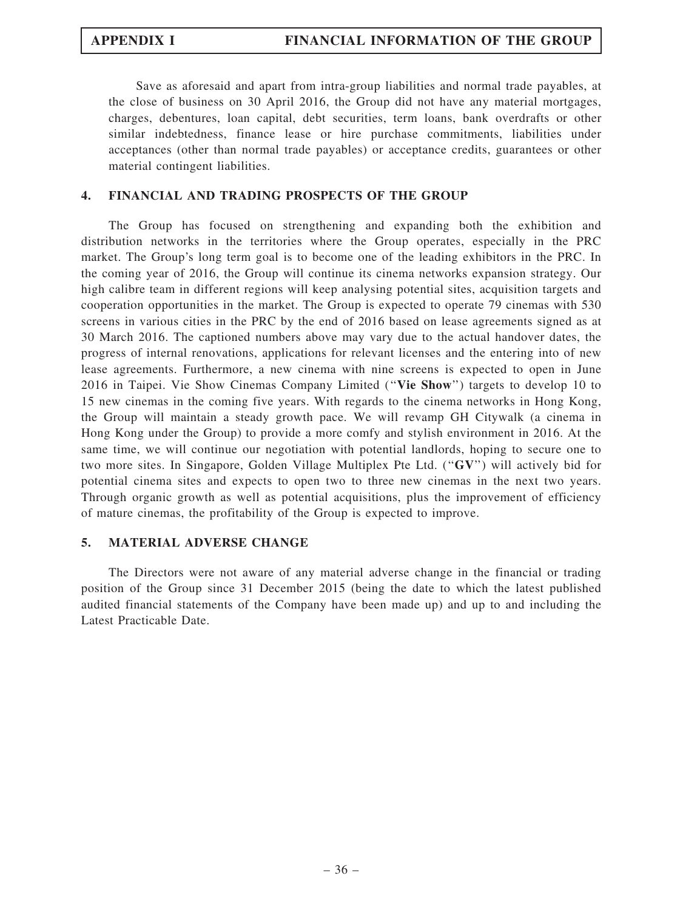Save as aforesaid and apart from intra-group liabilities and normal trade payables, at the close of business on 30 April 2016, the Group did not have any material mortgages, charges, debentures, loan capital, debt securities, term loans, bank overdrafts or other similar indebtedness, finance lease or hire purchase commitments, liabilities under acceptances (other than normal trade payables) or acceptance credits, guarantees or other material contingent liabilities.

### 4. FINANCIAL AND TRADING PROSPECTS OF THE GROUP

The Group has focused on strengthening and expanding both the exhibition and distribution networks in the territories where the Group operates, especially in the PRC market. The Group's long term goal is to become one of the leading exhibitors in the PRC. In the coming year of 2016, the Group will continue its cinema networks expansion strategy. Our high calibre team in different regions will keep analysing potential sites, acquisition targets and cooperation opportunities in the market. The Group is expected to operate 79 cinemas with 530 screens in various cities in the PRC by the end of 2016 based on lease agreements signed as at 30 March 2016. The captioned numbers above may vary due to the actual handover dates, the progress of internal renovations, applications for relevant licenses and the entering into of new lease agreements. Furthermore, a new cinema with nine screens is expected to open in June 2016 in Taipei. Vie Show Cinemas Company Limited (''Vie Show'') targets to develop 10 to 15 new cinemas in the coming five years. With regards to the cinema networks in Hong Kong, the Group will maintain a steady growth pace. We will revamp GH Citywalk (a cinema in Hong Kong under the Group) to provide a more comfy and stylish environment in 2016. At the same time, we will continue our negotiation with potential landlords, hoping to secure one to two more sites. In Singapore, Golden Village Multiplex Pte Ltd. (''GV'') will actively bid for potential cinema sites and expects to open two to three new cinemas in the next two years. Through organic growth as well as potential acquisitions, plus the improvement of efficiency of mature cinemas, the profitability of the Group is expected to improve.

#### 5. MATERIAL ADVERSE CHANGE

The Directors were not aware of any material adverse change in the financial or trading position of the Group since 31 December 2015 (being the date to which the latest published audited financial statements of the Company have been made up) and up to and including the Latest Practicable Date.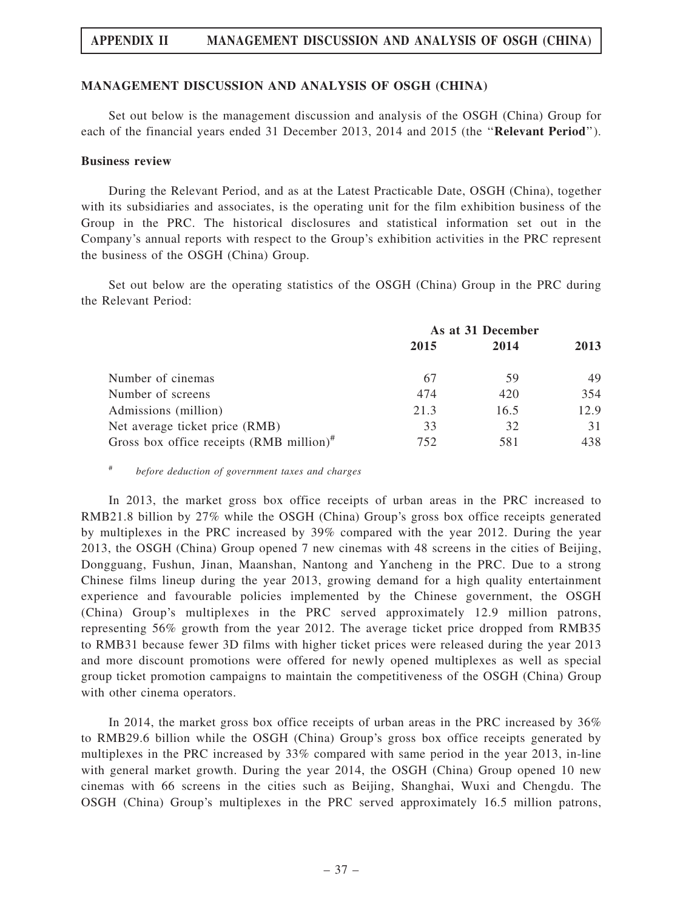## APPENDIX II MANAGEMENT DISCUSSION AND ANALYSIS OF OSGH (CHINA)

#### MANAGEMENT DISCUSSION AND ANALYSIS OF OSGH (CHINA)

Set out below is the management discussion and analysis of the OSGH (China) Group for each of the financial years ended 31 December 2013, 2014 and 2015 (the "Relevant Period").

#### Business review

During the Relevant Period, and as at the Latest Practicable Date, OSGH (China), together with its subsidiaries and associates, is the operating unit for the film exhibition business of the Group in the PRC. The historical disclosures and statistical information set out in the Company's annual reports with respect to the Group's exhibition activities in the PRC represent the business of the OSGH (China) Group.

Set out below are the operating statistics of the OSGH (China) Group in the PRC during the Relevant Period:

|                                                       | As at 31 December |      |      |
|-------------------------------------------------------|-------------------|------|------|
|                                                       | 2015              | 2014 | 2013 |
| Number of cinemas                                     | 67                | 59   | 49   |
| Number of screens                                     | 474               | 420  | 354  |
| Admissions (million)                                  | 21.3              | 16.5 | 12.9 |
| Net average ticket price (RMB)                        | 33                | 32   | 31   |
| Gross box office receipts $(RMB\text{ million})^{\#}$ | 752               | 581  | 438. |

# before deduction of government taxes and charges

In 2013, the market gross box office receipts of urban areas in the PRC increased to RMB21.8 billion by 27% while the OSGH (China) Group's gross box office receipts generated by multiplexes in the PRC increased by 39% compared with the year 2012. During the year 2013, the OSGH (China) Group opened 7 new cinemas with 48 screens in the cities of Beijing, Dongguang, Fushun, Jinan, Maanshan, Nantong and Yancheng in the PRC. Due to a strong Chinese films lineup during the year 2013, growing demand for a high quality entertainment experience and favourable policies implemented by the Chinese government, the OSGH (China) Group's multiplexes in the PRC served approximately 12.9 million patrons, representing 56% growth from the year 2012. The average ticket price dropped from RMB35 to RMB31 because fewer 3D films with higher ticket prices were released during the year 2013 and more discount promotions were offered for newly opened multiplexes as well as special group ticket promotion campaigns to maintain the competitiveness of the OSGH (China) Group with other cinema operators.

In 2014, the market gross box office receipts of urban areas in the PRC increased by 36% to RMB29.6 billion while the OSGH (China) Group's gross box office receipts generated by multiplexes in the PRC increased by 33% compared with same period in the year 2013, in-line with general market growth. During the year 2014, the OSGH (China) Group opened 10 new cinemas with 66 screens in the cities such as Beijing, Shanghai, Wuxi and Chengdu. The OSGH (China) Group's multiplexes in the PRC served approximately 16.5 million patrons,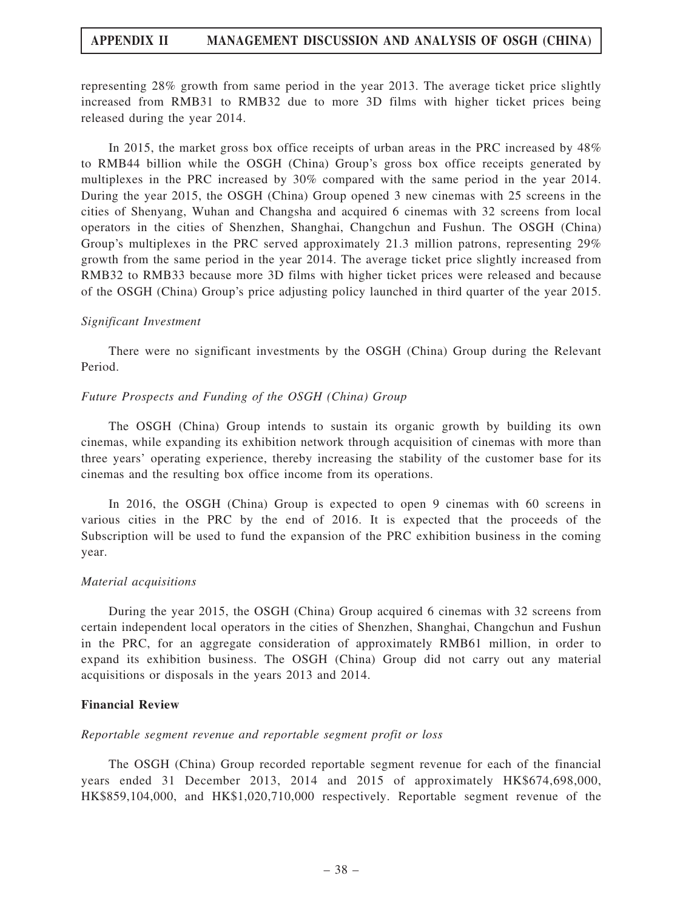## APPENDIX II MANAGEMENT DISCUSSION AND ANALYSIS OF OSGH (CHINA)

representing 28% growth from same period in the year 2013. The average ticket price slightly increased from RMB31 to RMB32 due to more 3D films with higher ticket prices being released during the year 2014.

In 2015, the market gross box office receipts of urban areas in the PRC increased by 48% to RMB44 billion while the OSGH (China) Group's gross box office receipts generated by multiplexes in the PRC increased by 30% compared with the same period in the year 2014. During the year 2015, the OSGH (China) Group opened 3 new cinemas with 25 screens in the cities of Shenyang, Wuhan and Changsha and acquired 6 cinemas with 32 screens from local operators in the cities of Shenzhen, Shanghai, Changchun and Fushun. The OSGH (China) Group's multiplexes in the PRC served approximately 21.3 million patrons, representing 29% growth from the same period in the year 2014. The average ticket price slightly increased from RMB32 to RMB33 because more 3D films with higher ticket prices were released and because of the OSGH (China) Group's price adjusting policy launched in third quarter of the year 2015.

#### Significant Investment

There were no significant investments by the OSGH (China) Group during the Relevant Period.

#### Future Prospects and Funding of the OSGH (China) Group

The OSGH (China) Group intends to sustain its organic growth by building its own cinemas, while expanding its exhibition network through acquisition of cinemas with more than three years' operating experience, thereby increasing the stability of the customer base for its cinemas and the resulting box office income from its operations.

In 2016, the OSGH (China) Group is expected to open 9 cinemas with 60 screens in various cities in the PRC by the end of 2016. It is expected that the proceeds of the Subscription will be used to fund the expansion of the PRC exhibition business in the coming year.

#### Material acquisitions

During the year 2015, the OSGH (China) Group acquired 6 cinemas with 32 screens from certain independent local operators in the cities of Shenzhen, Shanghai, Changchun and Fushun in the PRC, for an aggregate consideration of approximately RMB61 million, in order to expand its exhibition business. The OSGH (China) Group did not carry out any material acquisitions or disposals in the years 2013 and 2014.

#### Financial Review

#### Reportable segment revenue and reportable segment profit or loss

The OSGH (China) Group recorded reportable segment revenue for each of the financial years ended 31 December 2013, 2014 and 2015 of approximately HK\$674,698,000, HK\$859,104,000, and HK\$1,020,710,000 respectively. Reportable segment revenue of the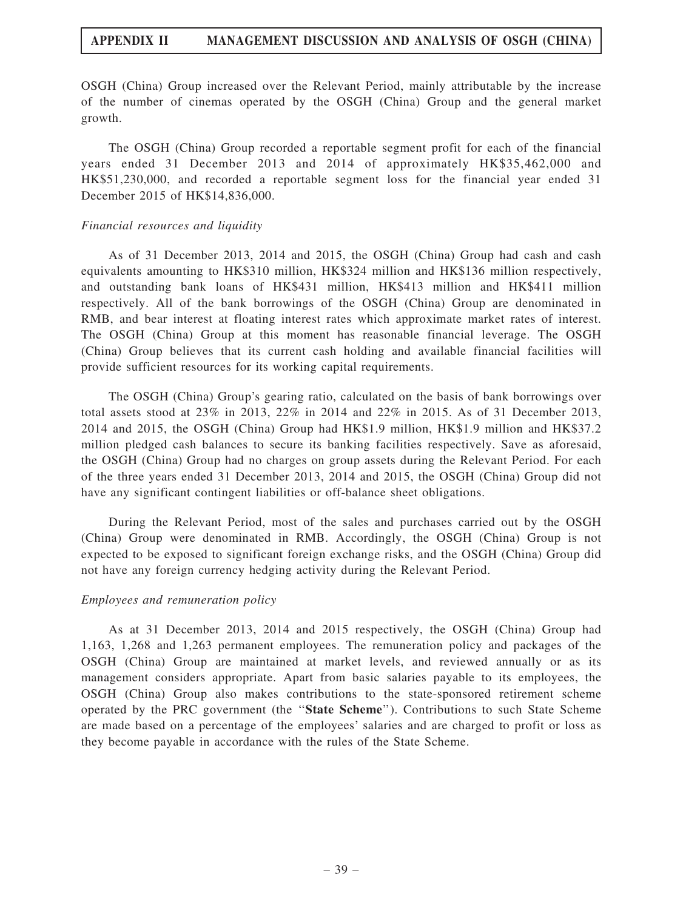## APPENDIX II MANAGEMENT DISCUSSION AND ANALYSIS OF OSGH (CHINA)

OSGH (China) Group increased over the Relevant Period, mainly attributable by the increase of the number of cinemas operated by the OSGH (China) Group and the general market growth.

The OSGH (China) Group recorded a reportable segment profit for each of the financial years ended 31 December 2013 and 2014 of approximately HK\$35,462,000 and HK\$51,230,000, and recorded a reportable segment loss for the financial year ended 31 December 2015 of HK\$14,836,000.

#### Financial resources and liquidity

As of 31 December 2013, 2014 and 2015, the OSGH (China) Group had cash and cash equivalents amounting to HK\$310 million, HK\$324 million and HK\$136 million respectively, and outstanding bank loans of HK\$431 million, HK\$413 million and HK\$411 million respectively. All of the bank borrowings of the OSGH (China) Group are denominated in RMB, and bear interest at floating interest rates which approximate market rates of interest. The OSGH (China) Group at this moment has reasonable financial leverage. The OSGH (China) Group believes that its current cash holding and available financial facilities will provide sufficient resources for its working capital requirements.

The OSGH (China) Group's gearing ratio, calculated on the basis of bank borrowings over total assets stood at 23% in 2013, 22% in 2014 and 22% in 2015. As of 31 December 2013, 2014 and 2015, the OSGH (China) Group had HK\$1.9 million, HK\$1.9 million and HK\$37.2 million pledged cash balances to secure its banking facilities respectively. Save as aforesaid, the OSGH (China) Group had no charges on group assets during the Relevant Period. For each of the three years ended 31 December 2013, 2014 and 2015, the OSGH (China) Group did not have any significant contingent liabilities or off-balance sheet obligations.

During the Relevant Period, most of the sales and purchases carried out by the OSGH (China) Group were denominated in RMB. Accordingly, the OSGH (China) Group is not expected to be exposed to significant foreign exchange risks, and the OSGH (China) Group did not have any foreign currency hedging activity during the Relevant Period.

#### Employees and remuneration policy

As at 31 December 2013, 2014 and 2015 respectively, the OSGH (China) Group had 1,163, 1,268 and 1,263 permanent employees. The remuneration policy and packages of the OSGH (China) Group are maintained at market levels, and reviewed annually or as its management considers appropriate. Apart from basic salaries payable to its employees, the OSGH (China) Group also makes contributions to the state-sponsored retirement scheme operated by the PRC government (the ''State Scheme''). Contributions to such State Scheme are made based on a percentage of the employees' salaries and are charged to profit or loss as they become payable in accordance with the rules of the State Scheme.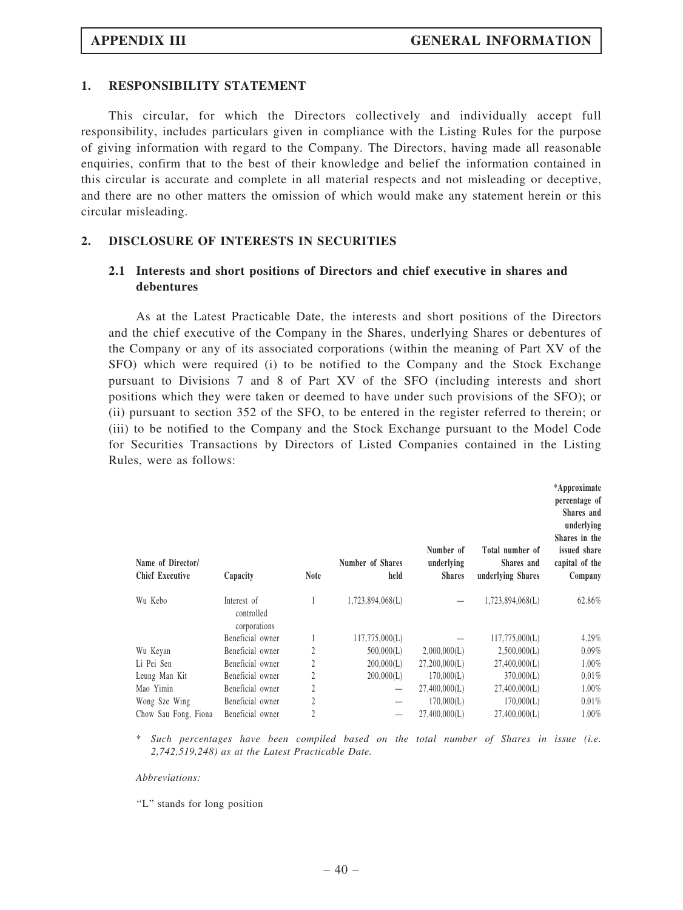#### 1. RESPONSIBILITY STATEMENT

This circular, for which the Directors collectively and individually accept full responsibility, includes particulars given in compliance with the Listing Rules for the purpose of giving information with regard to the Company. The Directors, having made all reasonable enquiries, confirm that to the best of their knowledge and belief the information contained in this circular is accurate and complete in all material respects and not misleading or deceptive, and there are no other matters the omission of which would make any statement herein or this circular misleading.

#### 2. DISCLOSURE OF INTERESTS IN SECURITIES

#### 2.1 Interests and short positions of Directors and chief executive in shares and debentures

As at the Latest Practicable Date, the interests and short positions of the Directors and the chief executive of the Company in the Shares, underlying Shares or debentures of the Company or any of its associated corporations (within the meaning of Part XV of the SFO) which were required (i) to be notified to the Company and the Stock Exchange pursuant to Divisions 7 and 8 of Part XV of the SFO (including interests and short positions which they were taken or deemed to have under such provisions of the SFO); or (ii) pursuant to section 352 of the SFO, to be entered in the register referred to therein; or (iii) to be notified to the Company and the Stock Exchange pursuant to the Model Code for Securities Transactions by Directors of Listed Companies contained in the Listing Rules, were as follows:

| Name of Director/<br><b>Chief Executive</b> | Capacity                                  | <b>Note</b> | Number of Shares<br>held | Number of<br>underlying<br><b>Shares</b> | Total number of<br>Shares and<br>underlying Shares | *Approximate<br>percentage of<br>Shares and<br>underlying<br>Shares in the<br>issued share<br>capital of the<br>Company |
|---------------------------------------------|-------------------------------------------|-------------|--------------------------|------------------------------------------|----------------------------------------------------|-------------------------------------------------------------------------------------------------------------------------|
| Wu Kebo                                     | Interest of<br>controlled<br>corporations |             | 1,723,894,068(L)         |                                          | 1,723,894,068(L)                                   | 62.86%                                                                                                                  |
|                                             | Beneficial owner                          |             | 117,775,000(L)           |                                          | 117,775,000(L)                                     | 4.29%                                                                                                                   |
| Wu Keyan                                    | Beneficial owner                          | 2           | 500,000(L)               | 2,000,000(L)                             | 2,500,000(L)                                       | $0.09\%$                                                                                                                |
| Li Pei Sen                                  | Beneficial owner                          | 2           | 200,000(L)               | 27,200,000(L)                            | 27,400,000(L)                                      | 1.00%                                                                                                                   |
| Leung Man Kit                               | Beneficial owner                          | 2           | 200,000(L)               | 170,000(L)                               | 370,000(L)                                         | 0.01%                                                                                                                   |
| Mao Yimin                                   | Beneficial owner                          | 2           |                          | 27,400,000(L)                            | 27,400,000(L)                                      | $1.00\%$                                                                                                                |
| Wong Sze Wing                               | Beneficial owner                          | 2           |                          | 170,000(L)                               | 170,000(L)                                         | 0.01%                                                                                                                   |
| Chow Sau Fong, Fiona                        | Beneficial owner                          | 2           |                          | 27,400,000(L)                            | 27,400,000(L)                                      | 1.00%                                                                                                                   |

\* Such percentages have been compiled based on the total number of Shares in issue (i.e. 2,742,519,248) as at the Latest Practicable Date.

#### Abbreviations:

"L" stands for long position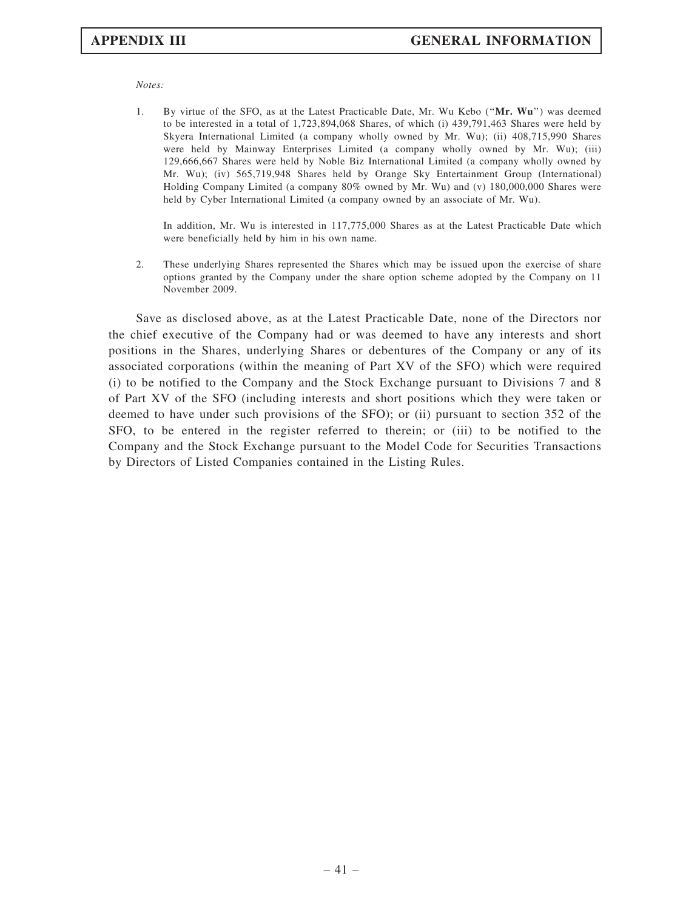Notes:

1. By virtue of the SFO, as at the Latest Practicable Date, Mr. Wu Kebo (''Mr. Wu'') was deemed to be interested in a total of 1,723,894,068 Shares, of which (i) 439,791,463 Shares were held by Skyera International Limited (a company wholly owned by Mr. Wu); (ii) 408,715,990 Shares were held by Mainway Enterprises Limited (a company wholly owned by Mr. Wu); (iii) 129,666,667 Shares were held by Noble Biz International Limited (a company wholly owned by Mr. Wu); (iv) 565,719,948 Shares held by Orange Sky Entertainment Group (International) Holding Company Limited (a company 80% owned by Mr. Wu) and (v) 180,000,000 Shares were held by Cyber International Limited (a company owned by an associate of Mr. Wu).

In addition, Mr. Wu is interested in 117,775,000 Shares as at the Latest Practicable Date which were beneficially held by him in his own name.

2. These underlying Shares represented the Shares which may be issued upon the exercise of share options granted by the Company under the share option scheme adopted by the Company on 11 November 2009.

Save as disclosed above, as at the Latest Practicable Date, none of the Directors nor the chief executive of the Company had or was deemed to have any interests and short positions in the Shares, underlying Shares or debentures of the Company or any of its associated corporations (within the meaning of Part XV of the SFO) which were required (i) to be notified to the Company and the Stock Exchange pursuant to Divisions 7 and 8 of Part XV of the SFO (including interests and short positions which they were taken or deemed to have under such provisions of the SFO); or (ii) pursuant to section 352 of the SFO, to be entered in the register referred to therein; or (iii) to be notified to the Company and the Stock Exchange pursuant to the Model Code for Securities Transactions by Directors of Listed Companies contained in the Listing Rules.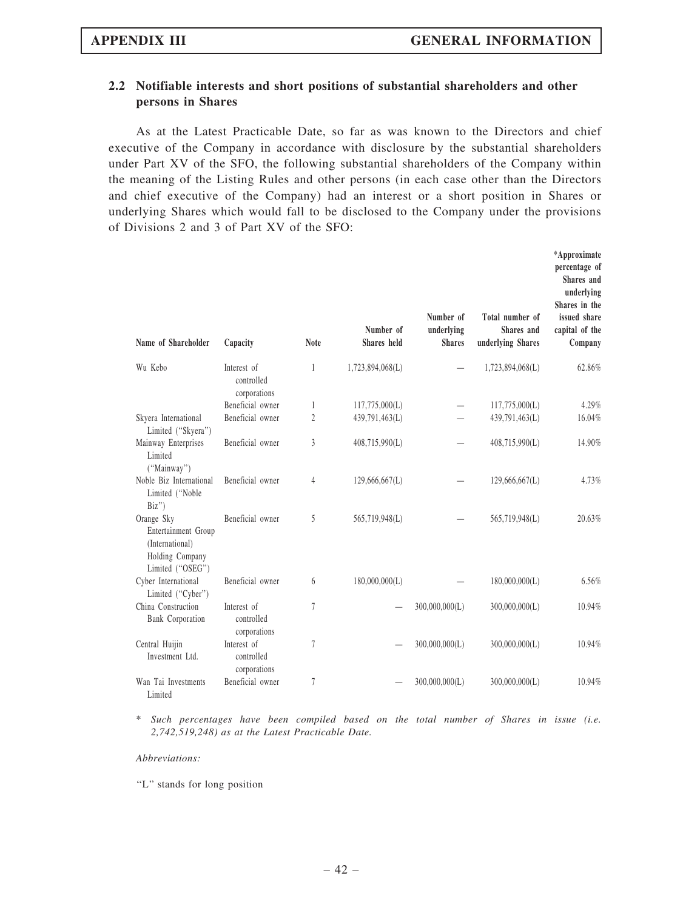#### 2.2 Notifiable interests and short positions of substantial shareholders and other persons in Shares

As at the Latest Practicable Date, so far as was known to the Directors and chief executive of the Company in accordance with disclosure by the substantial shareholders under Part XV of the SFO, the following substantial shareholders of the Company within the meaning of the Listing Rules and other persons (in each case other than the Directors and chief executive of the Company) had an interest or a short position in Shares or underlying Shares which would fall to be disclosed to the Company under the provisions of Divisions 2 and 3 of Part XV of the SFO:

| Name of Shareholder                                                                         | Capacity                                  | <b>Note</b>    | Number of<br>Shares held | Number of<br>underlying<br><b>Shares</b> | Total number of<br>Shares and<br>underlying Shares | *Approximate<br>percentage of<br>Shares and<br>underlying<br>Shares in the<br>issued share<br>capital of the<br>Company |
|---------------------------------------------------------------------------------------------|-------------------------------------------|----------------|--------------------------|------------------------------------------|----------------------------------------------------|-------------------------------------------------------------------------------------------------------------------------|
| Wu Kebo                                                                                     | Interest of<br>controlled<br>corporations | 1              | 1,723,894,068(L)         |                                          | 1,723,894,068(L)                                   | 62.86%                                                                                                                  |
|                                                                                             | Beneficial owner                          | 1              | 117,775,000(L)           |                                          | 117,775,000(L)                                     | 4.29%                                                                                                                   |
| Skyera International<br>Limited ("Skyera")                                                  | Beneficial owner                          | $\overline{2}$ | 439,791,463(L)           |                                          | 439,791,463(L)                                     | 16.04%                                                                                                                  |
| Mainway Enterprises<br>Limited<br>("Mainway")                                               | Beneficial owner                          | 3              | 408,715,990(L)           |                                          | 408,715,990(L)                                     | 14.90%                                                                                                                  |
| Noble Biz International<br>Limited ("Noble<br>Biz'                                          | Beneficial owner                          | 4              | 129,666,667(L)           |                                          | 129,666,667(L)                                     | 4.73%                                                                                                                   |
| Orange Sky<br>Entertainment Group<br>(International)<br>Holding Company<br>Limited ("OSEG") | Beneficial owner                          | 5              | 565,719,948(L)           |                                          | 565,719,948(L)                                     | 20.63%                                                                                                                  |
| Cyber International<br>Limited ("Cyber")                                                    | Beneficial owner                          | 6              | 180,000,000(L)           |                                          | 180,000,000(L)                                     | 6.56%                                                                                                                   |
| China Construction<br>Bank Corporation                                                      | Interest of<br>controlled<br>corporations | $\overline{7}$ |                          | 300,000,000(L)                           | 300,000,000(L)                                     | 10.94%                                                                                                                  |
| Central Huijin<br>Investment Ltd.                                                           | Interest of<br>controlled<br>corporations | $\overline{7}$ |                          | 300,000,000(L)                           | 300,000,000(L)                                     | 10.94%                                                                                                                  |
| Wan Tai Investments<br>Limited                                                              | Beneficial owner                          | $\overline{7}$ |                          | 300,000,000(L)                           | 300,000,000(L)                                     | 10.94%                                                                                                                  |

\* Such percentages have been compiled based on the total number of Shares in issue (i.e. 2,742,519,248) as at the Latest Practicable Date.

#### Abbreviations:

"L" stands for long position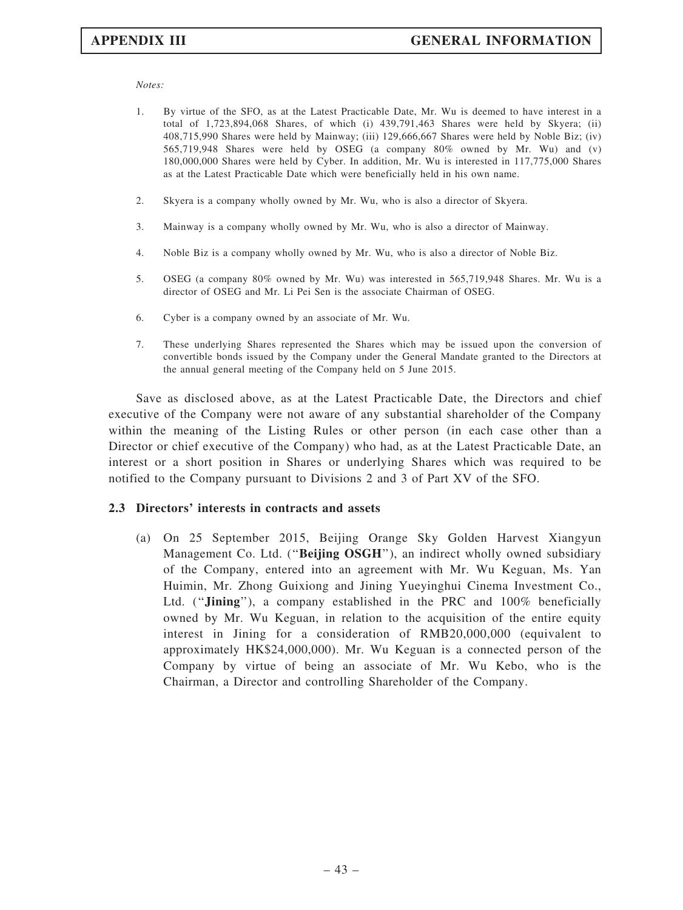Notes:

- 1. By virtue of the SFO, as at the Latest Practicable Date, Mr. Wu is deemed to have interest in a total of 1,723,894,068 Shares, of which (i) 439,791,463 Shares were held by Skyera; (ii) 408,715,990 Shares were held by Mainway; (iii) 129,666,667 Shares were held by Noble Biz; (iv) 565,719,948 Shares were held by OSEG (a company 80% owned by Mr. Wu) and (v) 180,000,000 Shares were held by Cyber. In addition, Mr. Wu is interested in 117,775,000 Shares as at the Latest Practicable Date which were beneficially held in his own name.
- 2. Skyera is a company wholly owned by Mr. Wu, who is also a director of Skyera.
- 3. Mainway is a company wholly owned by Mr. Wu, who is also a director of Mainway.
- 4. Noble Biz is a company wholly owned by Mr. Wu, who is also a director of Noble Biz.
- 5. OSEG (a company 80% owned by Mr. Wu) was interested in 565,719,948 Shares. Mr. Wu is a director of OSEG and Mr. Li Pei Sen is the associate Chairman of OSEG.
- 6. Cyber is a company owned by an associate of Mr. Wu.
- 7. These underlying Shares represented the Shares which may be issued upon the conversion of convertible bonds issued by the Company under the General Mandate granted to the Directors at the annual general meeting of the Company held on 5 June 2015.

Save as disclosed above, as at the Latest Practicable Date, the Directors and chief executive of the Company were not aware of any substantial shareholder of the Company within the meaning of the Listing Rules or other person (in each case other than a Director or chief executive of the Company) who had, as at the Latest Practicable Date, an interest or a short position in Shares or underlying Shares which was required to be notified to the Company pursuant to Divisions 2 and 3 of Part XV of the SFO.

#### 2.3 Directors' interests in contracts and assets

(a) On 25 September 2015, Beijing Orange Sky Golden Harvest Xiangyun Management Co. Ltd. ("Beijing OSGH"), an indirect wholly owned subsidiary of the Company, entered into an agreement with Mr. Wu Keguan, Ms. Yan Huimin, Mr. Zhong Guixiong and Jining Yueyinghui Cinema Investment Co., Ltd. ("**Jining**"), a company established in the PRC and 100% beneficially owned by Mr. Wu Keguan, in relation to the acquisition of the entire equity interest in Jining for a consideration of RMB20,000,000 (equivalent to approximately HK\$24,000,000). Mr. Wu Keguan is a connected person of the Company by virtue of being an associate of Mr. Wu Kebo, who is the Chairman, a Director and controlling Shareholder of the Company.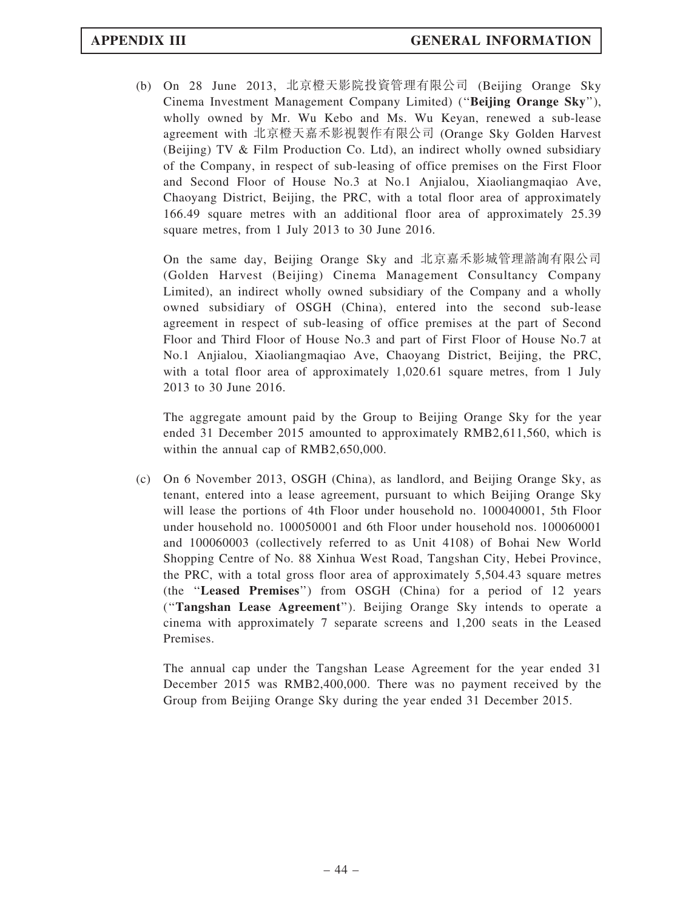(b) On 28 June 2013, 北京橙天影院投資管理有限公司 (Beijing Orange Sky Cinema Investment Management Company Limited) (''Beijing Orange Sky''), wholly owned by Mr. Wu Kebo and Ms. Wu Keyan, renewed a sub-lease agreement with 北京橙天嘉禾影視製作有限公司 (Orange Sky Golden Harvest (Beijing) TV & Film Production Co. Ltd), an indirect wholly owned subsidiary of the Company, in respect of sub-leasing of office premises on the First Floor and Second Floor of House No.3 at No.1 Anjialou, Xiaoliangmaqiao Ave, Chaoyang District, Beijing, the PRC, with a total floor area of approximately 166.49 square metres with an additional floor area of approximately 25.39 square metres, from 1 July 2013 to 30 June 2016.

On the same day, Beijing Orange Sky and 北京嘉禾影城管理諮詢有限公司 (Golden Harvest (Beijing) Cinema Management Consultancy Company Limited), an indirect wholly owned subsidiary of the Company and a wholly owned subsidiary of OSGH (China), entered into the second sub-lease agreement in respect of sub-leasing of office premises at the part of Second Floor and Third Floor of House No.3 and part of First Floor of House No.7 at No.1 Anjialou, Xiaoliangmaqiao Ave, Chaoyang District, Beijing, the PRC, with a total floor area of approximately 1,020.61 square metres, from 1 July 2013 to 30 June 2016.

The aggregate amount paid by the Group to Beijing Orange Sky for the year ended 31 December 2015 amounted to approximately RMB2,611,560, which is within the annual cap of RMB2,650,000.

(c) On 6 November 2013, OSGH (China), as landlord, and Beijing Orange Sky, as tenant, entered into a lease agreement, pursuant to which Beijing Orange Sky will lease the portions of 4th Floor under household no. 100040001, 5th Floor under household no. 100050001 and 6th Floor under household nos. 100060001 and 100060003 (collectively referred to as Unit 4108) of Bohai New World Shopping Centre of No. 88 Xinhua West Road, Tangshan City, Hebei Province, the PRC, with a total gross floor area of approximately 5,504.43 square metres (the ''Leased Premises'') from OSGH (China) for a period of 12 years (''Tangshan Lease Agreement''). Beijing Orange Sky intends to operate a cinema with approximately 7 separate screens and 1,200 seats in the Leased Premises.

The annual cap under the Tangshan Lease Agreement for the year ended 31 December 2015 was RMB2,400,000. There was no payment received by the Group from Beijing Orange Sky during the year ended 31 December 2015.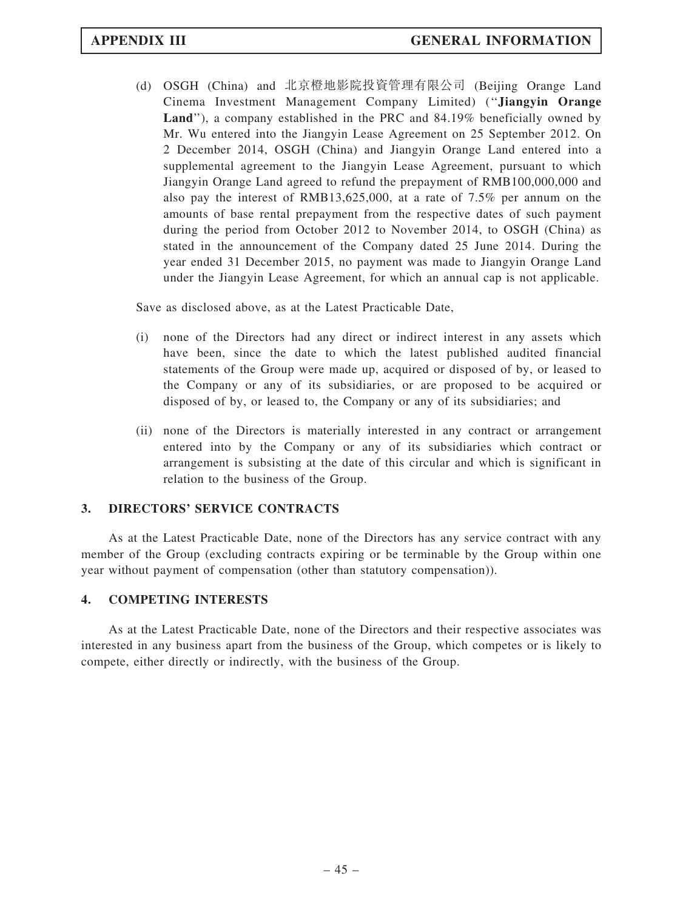(d) OSGH (China) and 北京橙地影院投資管理有限公司 (Beijing Orange Land Cinema Investment Management Company Limited) (''Jiangyin Orange Land"), a company established in the PRC and 84.19% beneficially owned by Mr. Wu entered into the Jiangyin Lease Agreement on 25 September 2012. On 2 December 2014, OSGH (China) and Jiangyin Orange Land entered into a supplemental agreement to the Jiangyin Lease Agreement, pursuant to which Jiangyin Orange Land agreed to refund the prepayment of RMB100,000,000 and also pay the interest of RMB13,625,000, at a rate of 7.5% per annum on the amounts of base rental prepayment from the respective dates of such payment during the period from October 2012 to November 2014, to OSGH (China) as stated in the announcement of the Company dated 25 June 2014. During the year ended 31 December 2015, no payment was made to Jiangyin Orange Land under the Jiangyin Lease Agreement, for which an annual cap is not applicable.

Save as disclosed above, as at the Latest Practicable Date,

- (i) none of the Directors had any direct or indirect interest in any assets which have been, since the date to which the latest published audited financial statements of the Group were made up, acquired or disposed of by, or leased to the Company or any of its subsidiaries, or are proposed to be acquired or disposed of by, or leased to, the Company or any of its subsidiaries; and
- (ii) none of the Directors is materially interested in any contract or arrangement entered into by the Company or any of its subsidiaries which contract or arrangement is subsisting at the date of this circular and which is significant in relation to the business of the Group.

#### 3. DIRECTORS' SERVICE CONTRACTS

As at the Latest Practicable Date, none of the Directors has any service contract with any member of the Group (excluding contracts expiring or be terminable by the Group within one year without payment of compensation (other than statutory compensation)).

#### 4. COMPETING INTERESTS

As at the Latest Practicable Date, none of the Directors and their respective associates was interested in any business apart from the business of the Group, which competes or is likely to compete, either directly or indirectly, with the business of the Group.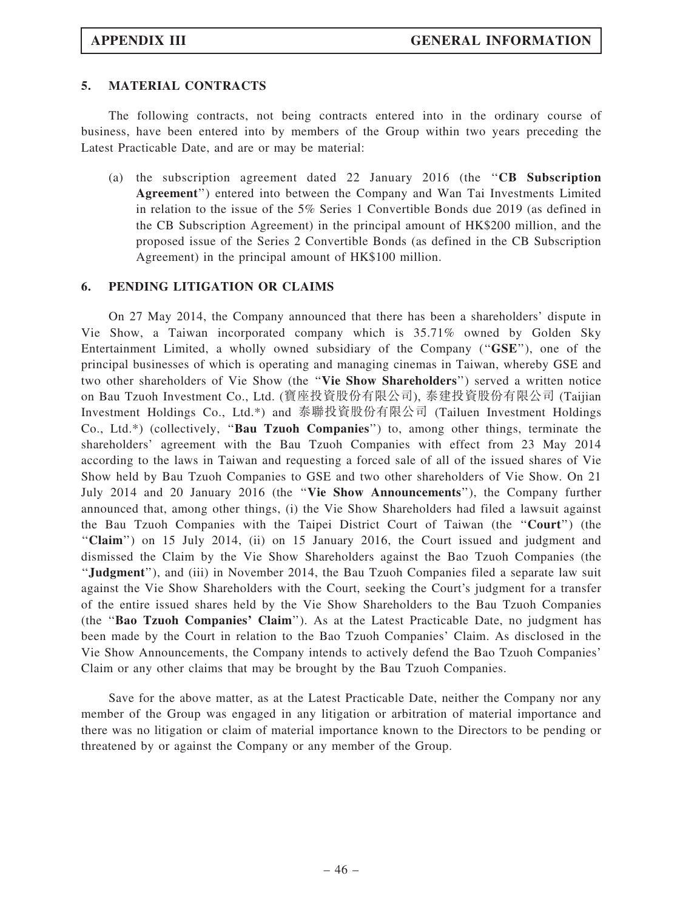#### 5. MATERIAL CONTRACTS

The following contracts, not being contracts entered into in the ordinary course of business, have been entered into by members of the Group within two years preceding the Latest Practicable Date, and are or may be material:

(a) the subscription agreement dated 22 January 2016 (the  $"CB$  Subscription Agreement'') entered into between the Company and Wan Tai Investments Limited in relation to the issue of the 5% Series 1 Convertible Bonds due 2019 (as defined in the CB Subscription Agreement) in the principal amount of HK\$200 million, and the proposed issue of the Series 2 Convertible Bonds (as defined in the CB Subscription Agreement) in the principal amount of HK\$100 million.

#### 6. PENDING LITIGATION OR CLAIMS

On 27 May 2014, the Company announced that there has been a shareholders' dispute in Vie Show, a Taiwan incorporated company which is 35.71% owned by Golden Sky Entertainment Limited, a wholly owned subsidiary of the Company (''GSE''), one of the principal businesses of which is operating and managing cinemas in Taiwan, whereby GSE and two other shareholders of Vie Show (the ''Vie Show Shareholders'') served a written notice on Bau Tzuoh Investment Co., Ltd. (寶座投資股份有限公司), 泰建投資股份有限公司 (Taijian Investment Holdings Co., Ltd.\*) and 泰聯投資股份有限公司 (Tailuen Investment Holdings Co., Ltd.\*) (collectively, ''Bau Tzuoh Companies'') to, among other things, terminate the shareholders' agreement with the Bau Tzuoh Companies with effect from 23 May 2014 according to the laws in Taiwan and requesting a forced sale of all of the issued shares of Vie Show held by Bau Tzuoh Companies to GSE and two other shareholders of Vie Show. On 21 July 2014 and 20 January 2016 (the ''Vie Show Announcements''), the Company further announced that, among other things, (i) the Vie Show Shareholders had filed a lawsuit against the Bau Tzuoh Companies with the Taipei District Court of Taiwan (the ''Court'') (the ''Claim'') on 15 July 2014, (ii) on 15 January 2016, the Court issued and judgment and dismissed the Claim by the Vie Show Shareholders against the Bao Tzuoh Companies (the ''Judgment''), and (iii) in November 2014, the Bau Tzuoh Companies filed a separate law suit against the Vie Show Shareholders with the Court, seeking the Court's judgment for a transfer of the entire issued shares held by the Vie Show Shareholders to the Bau Tzuoh Companies (the ''Bao Tzuoh Companies' Claim''). As at the Latest Practicable Date, no judgment has been made by the Court in relation to the Bao Tzuoh Companies' Claim. As disclosed in the Vie Show Announcements, the Company intends to actively defend the Bao Tzuoh Companies' Claim or any other claims that may be brought by the Bau Tzuoh Companies.

Save for the above matter, as at the Latest Practicable Date, neither the Company nor any member of the Group was engaged in any litigation or arbitration of material importance and there was no litigation or claim of material importance known to the Directors to be pending or threatened by or against the Company or any member of the Group.